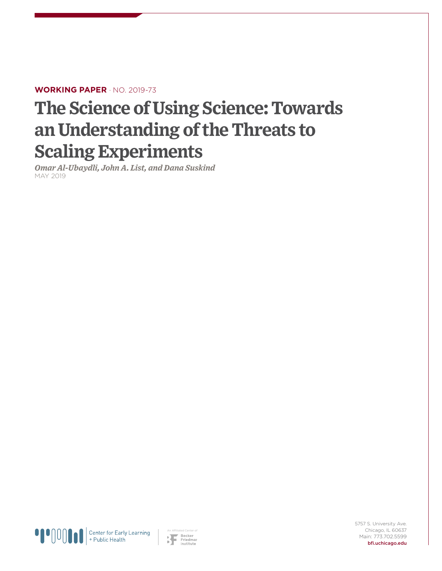## **WORKING PAPER** · NO. 2019-73

# **The Science of Using Science: Towards an Understanding of the Threats to Scaling Experiments**

*Omar Al-Ubaydli, John A. List, and Dana Suskind* MAY 2019



An Affiliated Center of

5757 S. University Ave. Chicago, IL 60637 Main: 773.702.5599 bfi.uchicago.edu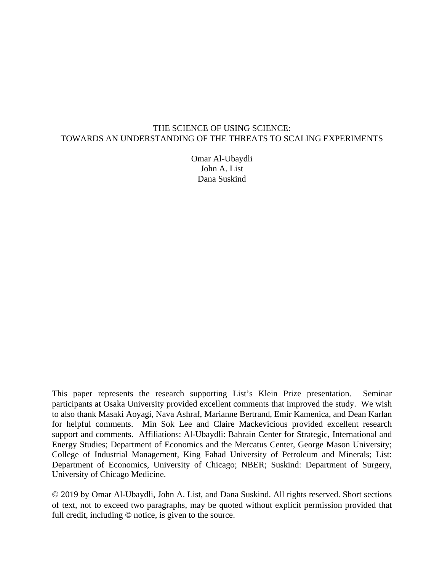#### THE SCIENCE OF USING SCIENCE: TOWARDS AN UNDERSTANDING OF THE THREATS TO SCALING EXPERIMENTS

Omar Al-Ubaydli John A. List Dana Suskind

This paper represents the research supporting List's Klein Prize presentation. Seminar participants at Osaka University provided excellent comments that improved the study. We wish to also thank Masaki Aoyagi, Nava Ashraf, Marianne Bertrand, Emir Kamenica, and Dean Karlan for helpful comments. Min Sok Lee and Claire Mackevicious provided excellent research support and comments. Affiliations: Al-Ubaydli: Bahrain Center for Strategic, International and Energy Studies; Department of Economics and the Mercatus Center, George Mason University; College of Industrial Management, King Fahad University of Petroleum and Minerals; List: Department of Economics, University of Chicago; NBER; Suskind: Department of Surgery, University of Chicago Medicine.

© 2019 by Omar Al-Ubaydli, John A. List, and Dana Suskind. All rights reserved. Short sections of text, not to exceed two paragraphs, may be quoted without explicit permission provided that full credit, including © notice, is given to the source.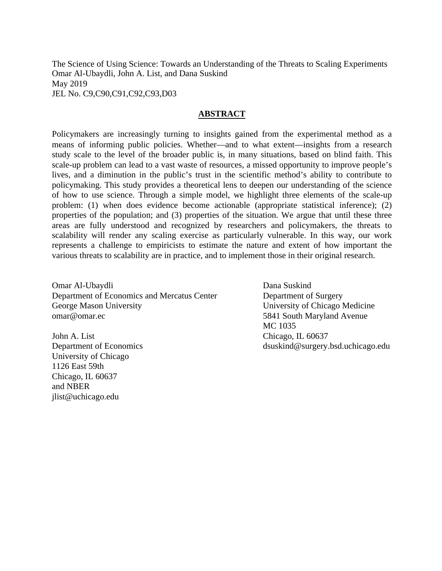The Science of Using Science: Towards an Understanding of the Threats to Scaling Experiments Omar Al-Ubaydli, John A. List, and Dana Suskind May 2019 JEL No. C9,C90,C91,C92,C93,D03

#### **ABSTRACT**

Policymakers are increasingly turning to insights gained from the experimental method as a means of informing public policies. Whether—and to what extent—insights from a research study scale to the level of the broader public is, in many situations, based on blind faith. This scale-up problem can lead to a vast waste of resources, a missed opportunity to improve people's lives, and a diminution in the public's trust in the scientific method's ability to contribute to policymaking. This study provides a theoretical lens to deepen our understanding of the science of how to use science. Through a simple model, we highlight three elements of the scale-up problem: (1) when does evidence become actionable (appropriate statistical inference); (2) properties of the population; and (3) properties of the situation. We argue that until these three areas are fully understood and recognized by researchers and policymakers, the threats to scalability will render any scaling exercise as particularly vulnerable. In this way, our work represents a challenge to empiricists to estimate the nature and extent of how important the various threats to scalability are in practice, and to implement those in their original research.

Omar Al-Ubaydli Department of Economics and Mercatus Center George Mason University omar@omar.ec

John A. List Department of Economics University of Chicago 1126 East 59th Chicago, IL 60637 and NBER jlist@uchicago.edu

Dana Suskind Department of Surgery University of Chicago Medicine 5841 South Maryland Avenue MC 1035 Chicago, IL 60637 dsuskind@surgery.bsd.uchicago.edu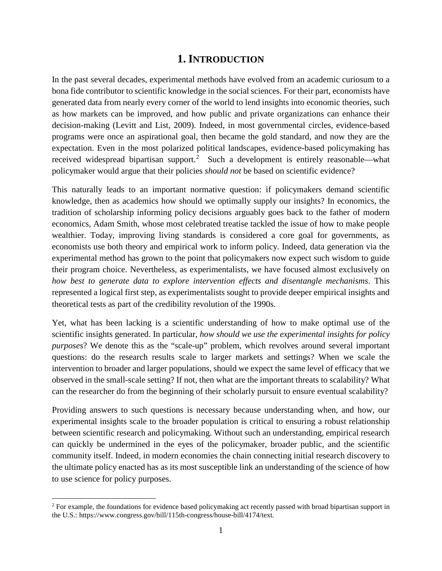# **1. INTRODUCTION**

In the past several decades, experimental methods have evolved from an academic curiosum to a bona fide contributor to scientific knowledge in the social sciences. For their part, economists have generated data from nearly every corner of the world to lend insights into economic theories, such as how markets can be improved, and how public and private organizations can enhance their decision-making (Levitt and List, 2009). Indeed, in most governmental circles, evidence-based programs were once an aspirational goal, then became the gold standard, and now they are the expectation. Even in the most polarized political landscapes, evidence-based policymaking has received widespread bipartisan support.<sup>[2](#page-3-0)</sup> Such a development is entirely reasonable—what policymaker would argue that their policies *should not* be based on scientific evidence?

This naturally leads to an important normative question: if policymakers demand scientific knowledge, then as academics how should we optimally supply our insights? In economics, the tradition of scholarship informing policy decisions arguably goes back to the father of modern economics, Adam Smith, whose most celebrated treatise tackled the issue of how to make people wealthier. Today, improving living standards is considered a core goal for governments, as economists use both theory and empirical work to inform policy. Indeed, data generation via the experimental method has grown to the point that policymakers now expect such wisdom to guide their program choice. Nevertheless, as experimentalists, we have focused almost exclusively on *how best to generate data to explore intervention effects and disentangle mechanisms*. This represented a logical first step, as experimentalists sought to provide deeper empirical insights and theoretical tests as part of the credibility revolution of the 1990s.

Yet, what has been lacking is a scientific understanding of how to make optimal use of the scientific insights generated. In particular, *how should we use the experimental insights for policy purposes*? We denote this as the "scale-up" problem, which revolves around several important questions: do the research results scale to larger markets and settings? When we scale the intervention to broader and larger populations, should we expect the same level of efficacy that we observed in the small-scale setting? If not, then what are the important threats to scalability? What can the researcher do from the beginning of their scholarly pursuit to ensure eventual scalability?

Providing answers to such questions is necessary because understanding when, and how, our experimental insights scale to the broader population is critical to ensuring a robust relationship between scientific research and policymaking. Without such an understanding, empirical research can quickly be undermined in the eyes of the policymaker, broader public, and the scientific community itself. Indeed, in modern economies the chain connecting initial research discovery to the ultimate policy enacted has as its most susceptible link an understanding of the science of how to use science for policy purposes.

 $\overline{a}$ 

<span id="page-3-0"></span><sup>&</sup>lt;sup>2</sup> For example, the foundations for evidence based policymaking act recently passed with broad bipartisan support in the U.S.: https://www.congress.gov/bill/115th-congress/house-bill/4174/text.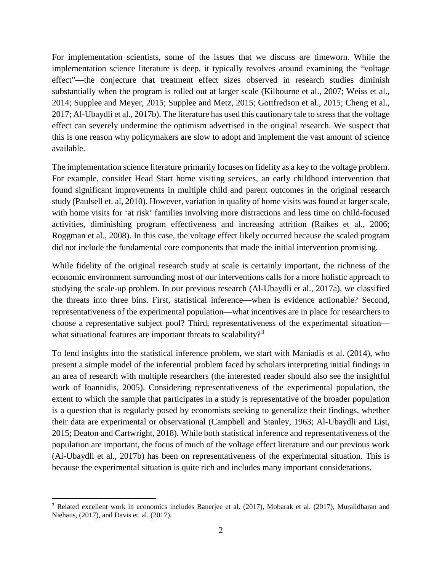For implementation scientists, some of the issues that we discuss are timeworn. While the implementation science literature is deep, it typically revolves around examining the "voltage effect"—the conjecture that treatment effect sizes observed in research studies diminish substantially when the program is rolled out at larger scale (Kilbourne et al., 2007; Weiss et al., 2014; Supplee and Meyer, 2015; Supplee and Metz, 2015; Gottfredson et al., 2015; Cheng et al., 2017; Al-Ubaydli et al., 2017b). The literature has used this cautionary tale to stress that the voltage effect can severely undermine the optimism advertised in the original research. We suspect that this is one reason why policymakers are slow to adopt and implement the vast amount of science available.

The implementation science literature primarily focuses on fidelity as a key to the voltage problem. For example, consider Head Start home visiting services, an early childhood intervention that found significant improvements in multiple child and parent outcomes in the original research study (Paulsell et. al, 2010). However, variation in quality of home visits was found at larger scale, with home visits for 'at risk' families involving more distractions and less time on child-focused activities, diminishing program effectiveness and increasing attrition (Raikes et al., 2006; Roggman et al., 2008). In this case, the voltage effect likely occurred because the scaled program did not include the fundamental core components that made the initial intervention promising.

While fidelity of the original research study at scale is certainly important, the richness of the economic environment surrounding most of our interventions calls for a more holistic approach to studying the scale-up problem. In our previous research (Al-Ubaydli et al., 2017a), we classified the threats into three bins. First, statistical inference—when is evidence actionable? Second, representativeness of the experimental population—what incentives are in place for researchers to choose a representative subject pool? Third, representativeness of the experimental situation— what situational features are important threats to scalability?<sup>[3](#page-4-0)</sup>

To lend insights into the statistical inference problem, we start with Maniadis et al. (2014), who present a simple model of the inferential problem faced by scholars interpreting initial findings in an area of research with multiple researchers (the interested reader should also see the insightful work of Ioannidis, 2005). Considering representativeness of the experimental population, the extent to which the sample that participates in a study is representative of the broader population is a question that is regularly posed by economists seeking to generalize their findings, whether their data are experimental or observational (Campbell and Stanley, 1963; Al-Ubaydli and List, 2015; Deaton and Cartwright, 2018). While both statistical inference and representativeness of the population are important, the focus of much of the voltage effect literature and our previous work (Al-Ubaydli et al., 2017b) has been on representativeness of the experimental situation. This is because the experimental situation is quite rich and includes many important considerations.

<span id="page-4-0"></span> $\overline{a}$ <sup>3</sup> Related excellent work in economics includes Banerjee et al. (2017), Mobarak et al. (2017), Muralidharan and Niehaus, (2017), and Davis et. al. (2017).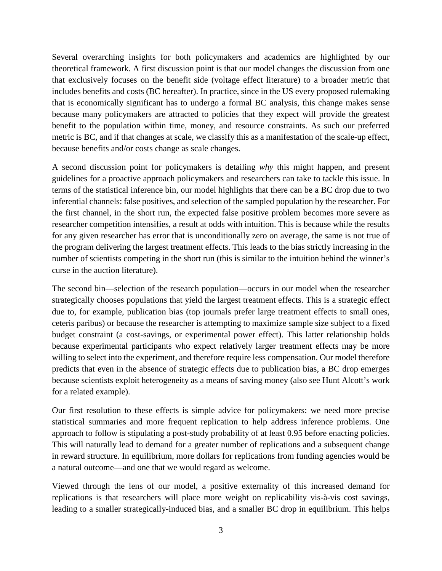Several overarching insights for both policymakers and academics are highlighted by our theoretical framework. A first discussion point is that our model changes the discussion from one that exclusively focuses on the benefit side (voltage effect literature) to a broader metric that includes benefits and costs (BC hereafter). In practice, since in the US every proposed rulemaking that is economically significant has to undergo a formal BC analysis, this change makes sense because many policymakers are attracted to policies that they expect will provide the greatest benefit to the population within time, money, and resource constraints. As such our preferred metric is BC, and if that changes at scale, we classify this as a manifestation of the scale-up effect, because benefits and/or costs change as scale changes.

A second discussion point for policymakers is detailing *why* this might happen, and present guidelines for a proactive approach policymakers and researchers can take to tackle this issue. In terms of the statistical inference bin, our model highlights that there can be a BC drop due to two inferential channels: false positives, and selection of the sampled population by the researcher. For the first channel, in the short run, the expected false positive problem becomes more severe as researcher competition intensifies, a result at odds with intuition. This is because while the results for any given researcher has error that is unconditionally zero on average, the same is not true of the program delivering the largest treatment effects. This leads to the bias strictly increasing in the number of scientists competing in the short run (this is similar to the intuition behind the winner's curse in the auction literature).

The second bin—selection of the research population—occurs in our model when the researcher strategically chooses populations that yield the largest treatment effects. This is a strategic effect due to, for example, publication bias (top journals prefer large treatment effects to small ones, ceteris paribus) or because the researcher is attempting to maximize sample size subject to a fixed budget constraint (a cost-savings, or experimental power effect). This latter relationship holds because experimental participants who expect relatively larger treatment effects may be more willing to select into the experiment, and therefore require less compensation. Our model therefore predicts that even in the absence of strategic effects due to publication bias, a BC drop emerges because scientists exploit heterogeneity as a means of saving money (also see Hunt Alcott's work for a related example).

Our first resolution to these effects is simple advice for policymakers: we need more precise statistical summaries and more frequent replication to help address inference problems. One approach to follow is stipulating a post-study probability of at least 0.95 before enacting policies. This will naturally lead to demand for a greater number of replications and a subsequent change in reward structure. In equilibrium, more dollars for replications from funding agencies would be a natural outcome—and one that we would regard as welcome.

Viewed through the lens of our model, a positive externality of this increased demand for replications is that researchers will place more weight on replicability vis-à-vis cost savings, leading to a smaller strategically-induced bias, and a smaller BC drop in equilibrium. This helps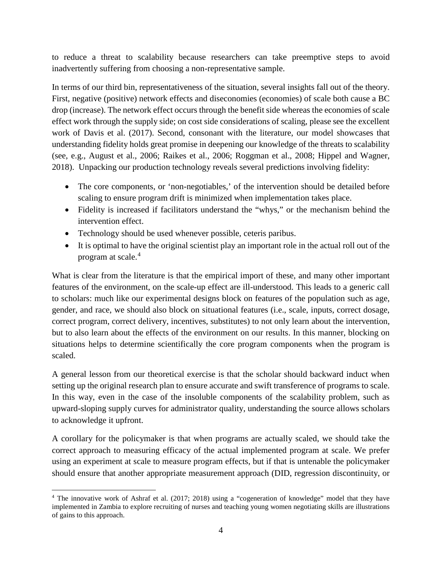to reduce a threat to scalability because researchers can take preemptive steps to avoid inadvertently suffering from choosing a non-representative sample.

In terms of our third bin, representativeness of the situation, several insights fall out of the theory. First, negative (positive) network effects and diseconomies (economies) of scale both cause a BC drop (increase). The network effect occurs through the benefit side whereas the economies of scale effect work through the supply side; on cost side considerations of scaling, please see the excellent work of Davis et al. (2017). Second, consonant with the literature, our model showcases that understanding fidelity holds great promise in deepening our knowledge of the threats to scalability (see, e.g., August et al., 2006; Raikes et al., 2006; Roggman et al., 2008; Hippel and Wagner, 2018). Unpacking our production technology reveals several predictions involving fidelity:

- The core components, or 'non-negotiables,' of the intervention should be detailed before scaling to ensure program drift is minimized when implementation takes place.
- Fidelity is increased if facilitators understand the "whys," or the mechanism behind the intervention effect.
- Technology should be used whenever possible, ceteris paribus.
- It is optimal to have the original scientist play an important role in the actual roll out of the program at scale. [4](#page-6-0)

What is clear from the literature is that the empirical import of these, and many other important features of the environment, on the scale-up effect are ill-understood. This leads to a generic call to scholars: much like our experimental designs block on features of the population such as age, gender, and race, we should also block on situational features (i.e., scale, inputs, correct dosage, correct program, correct delivery, incentives, substitutes) to not only learn about the intervention, but to also learn about the effects of the environment on our results. In this manner, blocking on situations helps to determine scientifically the core program components when the program is scaled.

A general lesson from our theoretical exercise is that the scholar should backward induct when setting up the original research plan to ensure accurate and swift transference of programs to scale. In this way, even in the case of the insoluble components of the scalability problem, such as upward-sloping supply curves for administrator quality, understanding the source allows scholars to acknowledge it upfront.

A corollary for the policymaker is that when programs are actually scaled, we should take the correct approach to measuring efficacy of the actual implemented program at scale. We prefer using an experiment at scale to measure program effects, but if that is untenable the policymaker should ensure that another appropriate measurement approach (DID, regression discontinuity, or

<span id="page-6-0"></span> $\overline{a}$ <sup>4</sup> The innovative work of Ashraf et al. (2017; 2018) using a "cogeneration of knowledge" model that they have implemented in Zambia to explore recruiting of nurses and teaching young women negotiating skills are illustrations of gains to this approach.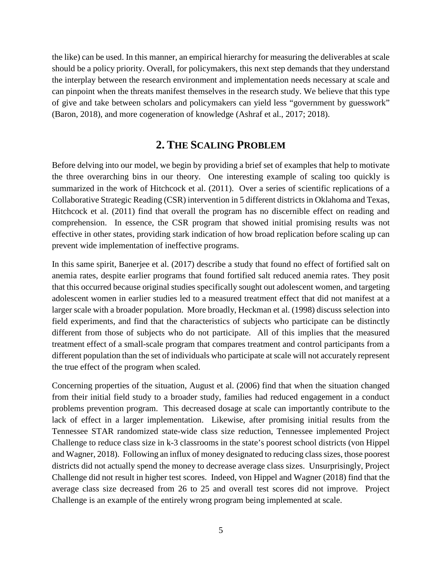the like) can be used. In this manner, an empirical hierarchy for measuring the deliverables at scale should be a policy priority. Overall, for policymakers, this next step demands that they understand the interplay between the research environment and implementation needs necessary at scale and can pinpoint when the threats manifest themselves in the research study. We believe that this type of give and take between scholars and policymakers can yield less "government by guesswork" (Baron, 2018), and more cogeneration of knowledge (Ashraf et al., 2017; 2018).

# **2. THE SCALING PROBLEM**

Before delving into our model, we begin by providing a brief set of examples that help to motivate the three overarching bins in our theory. One interesting example of scaling too quickly is summarized in the work of Hitchcock et al. (2011). Over a series of scientific replications of a Collaborative Strategic Reading (CSR) intervention in 5 different districts in Oklahoma and Texas, Hitchcock et al. (2011) find that overall the program has no discernible effect on reading and comprehension. In essence, the CSR program that showed initial promising results was not effective in other states, providing stark indication of how broad replication before scaling up can prevent wide implementation of ineffective programs.

In this same spirit, Banerjee et al. (2017) describe a study that found no effect of fortified salt on anemia rates, despite earlier programs that found fortified salt reduced anemia rates. They posit that this occurred because original studies specifically sought out adolescent women, and targeting adolescent women in earlier studies led to a measured treatment effect that did not manifest at a larger scale with a broader population. More broadly, Heckman et al. (1998) discuss selection into field experiments, and find that the characteristics of subjects who participate can be distinctly different from those of subjects who do not participate. All of this implies that the measured treatment effect of a small-scale program that compares treatment and control participants from a different population than the set of individuals who participate at scale will not accurately represent the true effect of the program when scaled.

Concerning properties of the situation, August et al. (2006) find that when the situation changed from their initial field study to a broader study, families had reduced engagement in a conduct problems prevention program. This decreased dosage at scale can importantly contribute to the lack of effect in a larger implementation. Likewise, after promising initial results from the Tennessee STAR randomized state-wide class size reduction, Tennessee implemented Project Challenge to reduce class size in k-3 classrooms in the state's poorest school districts (von Hippel and Wagner, 2018). Following an influx of money designated to reducing class sizes, those poorest districts did not actually spend the money to decrease average class sizes. Unsurprisingly, Project Challenge did not result in higher test scores. Indeed, von Hippel and Wagner (2018) find that the average class size decreased from 26 to 25 and overall test scores did not improve. Project Challenge is an example of the entirely wrong program being implemented at scale.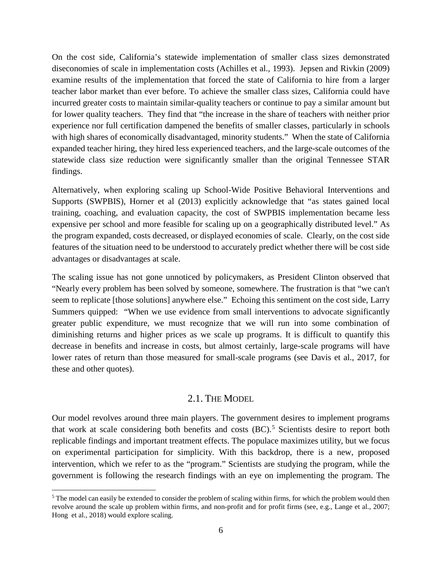On the cost side, California's statewide implementation of smaller class sizes demonstrated diseconomies of scale in implementation costs (Achilles et al., 1993). Jepsen and Rivkin (2009) examine results of the implementation that forced the state of California to hire from a larger teacher labor market than ever before. To achieve the smaller class sizes, California could have incurred greater costs to maintain similar-quality teachers or continue to pay a similar amount but for lower quality teachers. They find that "the increase in the share of teachers with neither prior experience nor full certification dampened the benefits of smaller classes, particularly in schools with high shares of economically disadvantaged, minority students." When the state of California expanded teacher hiring, they hired less experienced teachers, and the large-scale outcomes of the statewide class size reduction were significantly smaller than the original Tennessee STAR findings.

Alternatively, when exploring scaling up School-Wide Positive Behavioral Interventions and Supports (SWPBIS), Horner et al (2013) explicitly acknowledge that "as states gained local training, coaching, and evaluation capacity, the cost of SWPBIS implementation became less expensive per school and more feasible for scaling up on a geographically distributed level." As the program expanded, costs decreased, or displayed economies of scale. Clearly, on the cost side features of the situation need to be understood to accurately predict whether there will be cost side advantages or disadvantages at scale.

The scaling issue has not gone unnoticed by policymakers, as President Clinton observed that "Nearly every problem has been solved by someone, somewhere. The frustration is that "we can't seem to replicate [those solutions] anywhere else." Echoing this sentiment on the cost side, Larry Summers quipped: "When we use evidence from small interventions to advocate significantly greater public expenditure, we must recognize that we will run into some combination of diminishing returns and higher prices as we scale up programs. It is difficult to quantify this decrease in benefits and increase in costs, but almost certainly, large-scale programs will have lower rates of return than those measured for small-scale programs (see Davis et al., 2017, for these and other quotes).

## 2.1. THE MODEL

Our model revolves around three main players. The government desires to implement programs that work at scale considering both benefits and costs  $(BC)$ .<sup>[5](#page-8-0)</sup> Scientists desire to report both replicable findings and important treatment effects. The populace maximizes utility, but we focus on experimental participation for simplicity. With this backdrop, there is a new, proposed intervention, which we refer to as the "program." Scientists are studying the program, while the government is following the research findings with an eye on implementing the program. The

<span id="page-8-0"></span> $\overline{a}$ <sup>5</sup> The model can easily be extended to consider the problem of scaling within firms, for which the problem would then revolve around the scale up problem within firms, and non-profit and for profit firms (see, e.g., Lange et al., 2007; Hong et al., 2018) would explore scaling.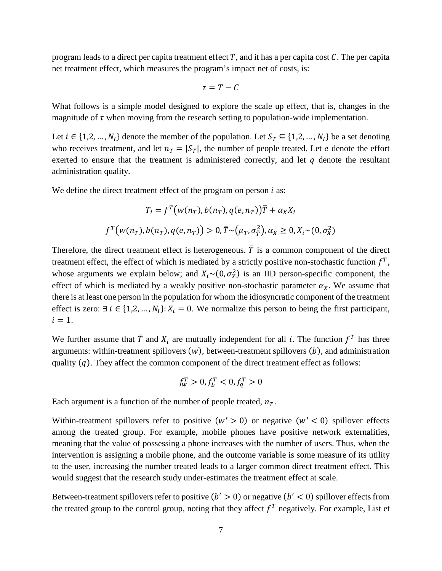program leads to a direct per capita treatment effect  $T$ , and it has a per capita cost  $C$ . The per capita net treatment effect, which measures the program's impact net of costs, is:

$$
\tau = T - C
$$

What follows is a simple model designed to explore the scale up effect, that is, changes in the magnitude of  $\tau$  when moving from the research setting to population-wide implementation.

Let  $i \in \{1,2,\ldots,N_l\}$  denote the member of the population. Let  $S_T \subseteq \{1,2,\ldots,N_l\}$  be a set denoting who receives treatment, and let  $n_T = |S_T|$ , the number of people treated. Let *e* denote the effort exerted to ensure that the treatment is administered correctly, and let  $q$  denote the resultant administration quality.

We define the direct treatment effect of the program on person  $i$  as:

$$
T_i = f^T(w(n_T), b(n_T), q(e, n_T))\overline{T} + \alpha_X X_i
$$
  

$$
f^T(w(n_T), b(n_T), q(e, n_T)) > 0, \overline{T} \sim (u_T, \sigma_T^2), \alpha_X \ge 0, X_i \sim (0, \sigma_X^2)
$$

Therefore, the direct treatment effect is heterogeneous.  $\overline{T}$  is a common component of the direct treatment effect, the effect of which is mediated by a strictly positive non-stochastic function  $f^T$ , whose arguments we explain below; and  $X_i \sim (0, \sigma_X^2)$  is an IID person-specific component, the effect of which is mediated by a weakly positive non-stochastic parameter  $\alpha_x$ . We assume that there is at least one person in the population for whom the idiosyncratic component of the treatment effect is zero: ∃  $i \in \{1,2,\ldots,N_l\}: X_i = 0$ . We normalize this person to being the first participant,  $i = 1$ .

We further assume that  $\overline{T}$  and  $X_i$  are mutually independent for all *i*. The function  $f^T$  has three arguments: within-treatment spillovers  $(w)$ , between-treatment spillovers  $(b)$ , and administration quality  $(q)$ . They affect the common component of the direct treatment effect as follows:

$$
f_w^T > 0, f_b^T < 0, f_q^T > 0
$$

Each argument is a function of the number of people treated,  $n_T$ .

Within-treatment spillovers refer to positive  $(w' > 0)$  or negative  $(w' < 0)$  spillover effects among the treated group. For example, mobile phones have positive network externalities, meaning that the value of possessing a phone increases with the number of users. Thus, when the intervention is assigning a mobile phone, and the outcome variable is some measure of its utility to the user, increasing the number treated leads to a larger common direct treatment effect. This would suggest that the research study under-estimates the treatment effect at scale.

Between-treatment spillovers refer to positive  $(b' > 0)$  or negative  $(b' < 0)$  spillover effects from the treated group to the control group, noting that they affect  $f^T$  negatively. For example, List et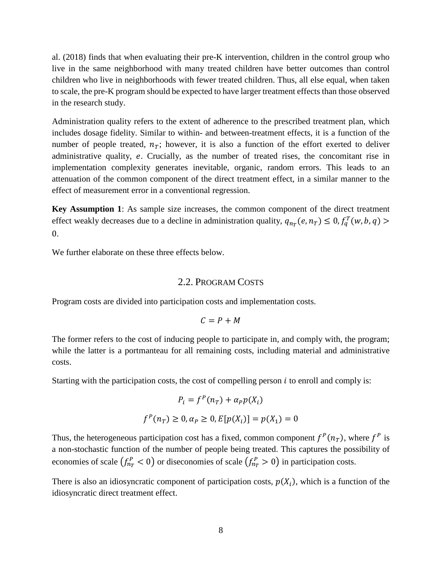al. (2018) finds that when evaluating their pre-K intervention, children in the control group who live in the same neighborhood with many treated children have better outcomes than control children who live in neighborhoods with fewer treated children. Thus, all else equal, when taken to scale, the pre-K program should be expected to have larger treatment effects than those observed in the research study.

Administration quality refers to the extent of adherence to the prescribed treatment plan, which includes dosage fidelity. Similar to within- and between-treatment effects, it is a function of the number of people treated,  $n_T$ ; however, it is also a function of the effort exerted to deliver administrative quality, e. Crucially, as the number of treated rises, the concomitant rise in implementation complexity generates inevitable, organic, random errors. This leads to an attenuation of the common component of the direct treatment effect, in a similar manner to the effect of measurement error in a conventional regression.

**Key Assumption 1**: As sample size increases, the common component of the direct treatment effect weakly decreases due to a decline in administration quality,  $q_{n_T}(e, n_T) \leq 0, f_q^T(w, b, q)$  $\mathbf{0}$ .

We further elaborate on these three effects below.

#### 2.2. PROGRAM COSTS

Program costs are divided into participation costs and implementation costs.

$$
C = P + M
$$

The former refers to the cost of inducing people to participate in, and comply with, the program; while the latter is a portmanteau for all remaining costs, including material and administrative costs.

Starting with the participation costs, the cost of compelling person  $i$  to enroll and comply is:

$$
P_i = f^P(n_T) + \alpha_P p(X_i)
$$
  

$$
f^P(n_T) \ge 0, \alpha_P \ge 0, E[p(X_i)] = p(X_1) = 0
$$

Thus, the heterogeneous participation cost has a fixed, common component  $f^P(n_T)$ , where  $f^P$  is a non-stochastic function of the number of people being treated. This captures the possibility of economies of scale  $f_{n_T}^P < 0$ ) or diseconomies of scale  $f_{n_T}^P > 0$ ) in participation costs.

There is also an idiosyncratic component of participation costs,  $p(X_i)$ , which is a function of the idiosyncratic direct treatment effect.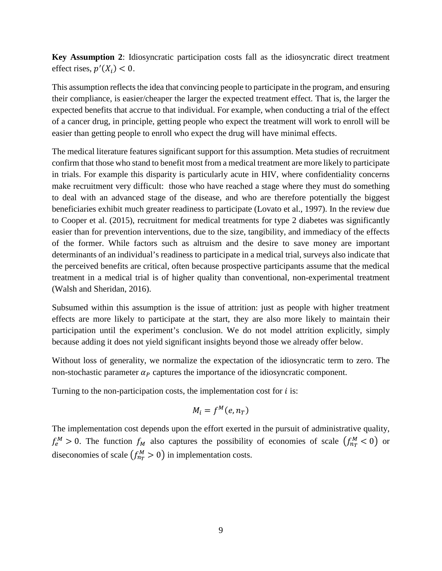**Key Assumption 2**: Idiosyncratic participation costs fall as the idiosyncratic direct treatment effect rises,  $p'(X_i) < 0$ .

This assumption reflects the idea that convincing people to participate in the program, and ensuring their compliance, is easier/cheaper the larger the expected treatment effect. That is, the larger the expected benefits that accrue to that individual. For example, when conducting a trial of the effect of a cancer drug, in principle, getting people who expect the treatment will work to enroll will be easier than getting people to enroll who expect the drug will have minimal effects.

The medical literature features significant support for this assumption. Meta studies of recruitment confirm that those who stand to benefit most from a medical treatment are more likely to participate in trials. For example this disparity is particularly acute in HIV, where confidentiality concerns make recruitment very difficult: those who have reached a stage where they must do something to deal with an advanced stage of the disease, and who are therefore potentially the biggest beneficiaries exhibit much greater readiness to participate (Lovato et al., 1997). In the review due to Cooper et al. (2015), recruitment for medical treatments for type 2 diabetes was significantly easier than for prevention interventions, due to the size, tangibility, and immediacy of the effects of the former. While factors such as altruism and the desire to save money are important determinants of an individual's readiness to participate in a medical trial, surveys also indicate that the perceived benefits are critical, often because prospective participants assume that the medical treatment in a medical trial is of higher quality than conventional, non-experimental treatment (Walsh and Sheridan, 2016).

Subsumed within this assumption is the issue of attrition: just as people with higher treatment effects are more likely to participate at the start, they are also more likely to maintain their participation until the experiment's conclusion. We do not model attrition explicitly, simply because adding it does not yield significant insights beyond those we already offer below.

Without loss of generality, we normalize the expectation of the idiosyncratic term to zero. The non-stochastic parameter  $\alpha_p$  captures the importance of the idiosyncratic component.

Turning to the non-participation costs, the implementation cost for  $i$  is:

$$
M_i = f^M(e, n_T)
$$

The implementation cost depends upon the effort exerted in the pursuit of administrative quality,  $f_e^M > 0$ . The function  $f_M$  also captures the possibility of economies of scale  $(f_{nT}^M < 0)$  or diseconomies of scale  $f_{nT}^M > 0$ ) in implementation costs.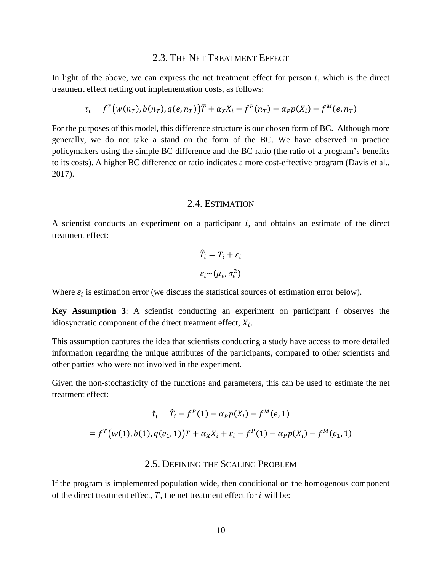#### 2.3. THE NET TREATMENT EFFECT

In light of the above, we can express the net treatment effect for person  $i$ , which is the direct treatment effect netting out implementation costs, as follows:

$$
\tau_i = f^T \big( w(n_T), b(n_T), q(e, n_T) \big) \overline{T} + \alpha_X X_i - f^P(n_T) - \alpha_P p(X_i) - f^M(e, n_T)
$$

For the purposes of this model, this difference structure is our chosen form of BC. Although more generally, we do not take a stand on the form of the BC. We have observed in practice policymakers using the simple BC difference and the BC ratio (the ratio of a program's benefits to its costs). A higher BC difference or ratio indicates a more cost-effective program (Davis et al., 2017).

#### 2.4. ESTIMATION

A scientist conducts an experiment on a participant  $i$ , and obtains an estimate of the direct treatment effect:

$$
\hat{T}_i = T_i + \varepsilon_i
$$

$$
\varepsilon_i \sim (\mu_{\varepsilon}, \sigma_{\varepsilon}^2)
$$

Where  $\varepsilon_i$  is estimation error (we discuss the statistical sources of estimation error below).

**Key Assumption 3:** A scientist conducting an experiment on participant  $i$  observes the idiosyncratic component of the direct treatment effect,  $X_i$ .

This assumption captures the idea that scientists conducting a study have access to more detailed information regarding the unique attributes of the participants, compared to other scientists and other parties who were not involved in the experiment.

Given the non-stochasticity of the functions and parameters, this can be used to estimate the net treatment effect:

$$
\hat{\tau}_i = \hat{T}_i - f^P(1) - \alpha_P p(X_i) - f^M(e, 1)
$$
  
=  $f^T(w(1), b(1), q(e_1, 1))\overline{T} + \alpha_X X_i + \varepsilon_i - f^P(1) - \alpha_P p(X_i) - f^M(e_1, 1)$ 

## 2.5. DEFINING THE SCALING PROBLEM

If the program is implemented population wide, then conditional on the homogenous component of the direct treatment effect,  $\overline{T}$ , the net treatment effect for *i* will be: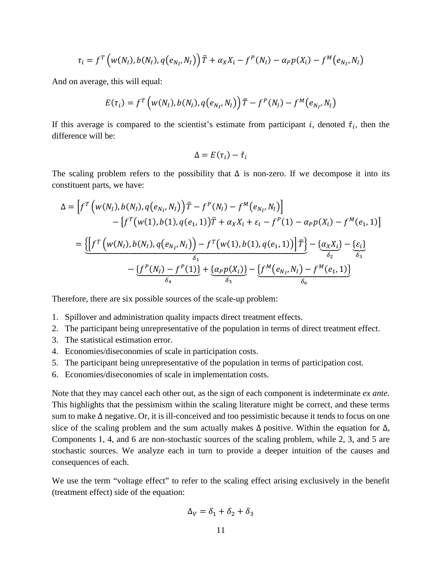$$
\tau_i = f^T \left( w(N_I), b(N_I), q(e_{N_I}, N_I) \right) \overline{T} + \alpha_X X_i - f^P(N_I) - \alpha_P p(X_i) - f^M(e_{N_I}, N_I)
$$

And on average, this will equal:

$$
E(\tau_i) = f^T \left( w(N_I), b(N_I), q(e_{N_I}, N_I) \right) \overline{T} - f^P(N_I) - f^M(e_{N_I}, N_I)
$$

If this average is compared to the scientist's estimate from participant *i*, denoted  $\hat{\tau}_i$ , then the difference will be:

$$
\Delta = E(\tau_i) - \hat{\tau}_i
$$

The scaling problem refers to the possibility that  $\Delta$  is non-zero. If we decompose it into its constituent parts, we have:

$$
\Delta = \left[ f^{T} \left( w(N_{I}), b(N_{I}), q(e_{N_{I}}, N_{I}) \right) \overline{T} - f^{P}(N_{I}) - f^{M}(e_{N_{I}}, N_{I}) \right] - \left[ f^{T} \left( w(1), b(1), q(e_{1}, 1) \right) \overline{T} + \alpha_{X} X_{i} + \varepsilon_{i} - f^{P}(1) - \alpha_{P} p(X_{i}) - f^{M}(e_{1}, 1) \right] = \underbrace{\left\{ \left[ f^{T} \left( w(N_{I}), b(N_{I}), q(e_{N_{I}}, N_{I}) \right) - f^{T} \left( w(1), b(1), q(e_{1}, 1) \right) \right] \overline{T} \right\} - \underbrace{\left\{ \alpha_{X} X_{i} \right\} - \underbrace{\left\{ \varepsilon_{i} \right\} }_{\delta_{3}}}{\delta_{4}} \\ - \underbrace{\left\{ f^{P}(N_{I}) - f^{P}(1) \right\} + \underbrace{\left\{ \alpha_{P} p(X_{i}) \right\} - \left\{ f^{M}(e_{N_{I}}, N_{I}) - f^{M}(e_{1}, 1) \right\} }_{\delta_{6}}}
$$

Therefore, there are six possible sources of the scale-up problem:

- 1. Spillover and administration quality impacts direct treatment effects.
- 2. The participant being unrepresentative of the population in terms of direct treatment effect.
- 3. The statistical estimation error.
- 4. Economies/diseconomies of scale in participation costs.
- 5. The participant being unrepresentative of the population in terms of participation cost.
- 6. Economies/diseconomies of scale in implementation costs.

Note that they may cancel each other out, as the sign of each component is indeterminate ex ante. This highlights that the pessimism within the scaling literature might be correct, and these terms sum to make  $\Delta$  negative. Or, it is ill-conceived and too pessimistic because it tends to focus on one slice of the scaling problem and the sum actually makes  $\Delta$  positive. Within the equation for  $\Delta$ , Components 1, 4, and 6 are non-stochastic sources of the scaling problem, while 2, 3, and 5 are stochastic sources. We analyze each in turn to provide a deeper intuition of the causes and consequences of each.

We use the term "voltage effect" to refer to the scaling effect arising exclusively in the benefit (treatment effect) side of the equation:

$$
\Delta_V = \delta_1 + \delta_2 + \delta_3
$$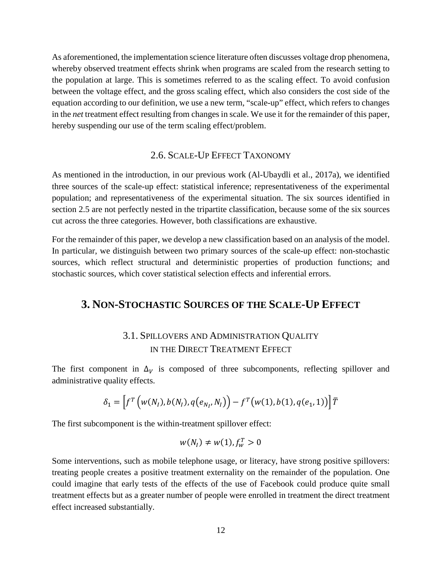As aforementioned, the implementation science literature often discusses voltage drop phenomena, whereby observed treatment effects shrink when programs are scaled from the research setting to the population at large. This is sometimes referred to as the scaling effect. To avoid confusion between the voltage effect, and the gross scaling effect, which also considers the cost side of the equation according to our definition, we use a new term, "scale-up" effect, which refers to changes in the *net* treatment effect resulting from changes in scale. We use it for the remainder of this paper, hereby suspending our use of the term scaling effect/problem.

## 2.6. SCALE-UP EFFECT TAXONOMY

As mentioned in the introduction, in our previous work (Al-Ubaydli et al., 2017a), we identified three sources of the scale-up effect: statistical inference; representativeness of the experimental population; and representativeness of the experimental situation. The six sources identified in section 2.5 are not perfectly nested in the tripartite classification, because some of the six sources cut across the three categories. However, both classifications are exhaustive.

For the remainder of this paper, we develop a new classification based on an analysis of the model. In particular, we distinguish between two primary sources of the scale-up effect: non-stochastic sources, which reflect structural and deterministic properties of production functions; and stochastic sources, which cover statistical selection effects and inferential errors.

## **3. NON-STOCHASTIC SOURCES OF THE SCALE-UP EFFECT**

# 3.1. SPILLOVERS AND ADMINISTRATION QUALITY IN THE DIRECT TREATMENT EFFECT

The first component in  $\Delta_V$  is composed of three subcomponents, reflecting spillover and administrative quality effects.

$$
\delta_1 = \left[ f^T \left( w(N_I), b(N_I), q(e_{N_I}, N_I) \right) - f^T \left( w(1), b(1), q(e_1, 1) \right) \right] \overline{T}
$$

The first subcomponent is the within-treatment spillover effect:

$$
w(N_I) \neq w(1), f_w^T > 0
$$

Some interventions, such as mobile telephone usage, or literacy, have strong positive spillovers: treating people creates a positive treatment externality on the remainder of the population. One could imagine that early tests of the effects of the use of Facebook could produce quite small treatment effects but as a greater number of people were enrolled in treatment the direct treatment effect increased substantially.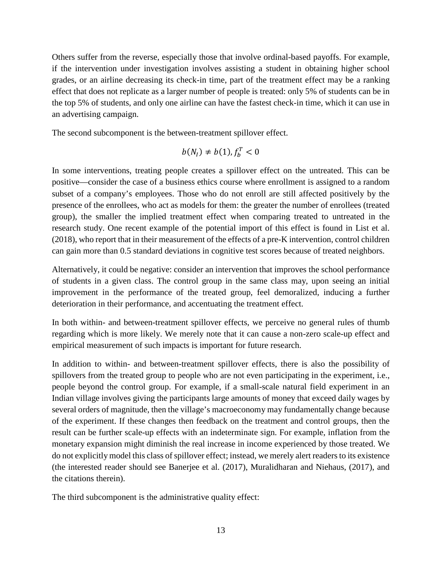Others suffer from the reverse, especially those that involve ordinal-based payoffs. For example, if the intervention under investigation involves assisting a student in obtaining higher school grades, or an airline decreasing its check-in time, part of the treatment effect may be a ranking effect that does not replicate as a larger number of people is treated: only 5% of students can be in the top 5% of students, and only one airline can have the fastest check-in time, which it can use in an advertising campaign.

The second subcomponent is the between-treatment spillover effect.

$$
b(N_I) \neq b(1), f_b^T < 0
$$

In some interventions, treating people creates a spillover effect on the untreated. This can be positive—consider the case of a business ethics course where enrollment is assigned to a random subset of a company's employees. Those who do not enroll are still affected positively by the presence of the enrollees, who act as models for them: the greater the number of enrollees (treated group), the smaller the implied treatment effect when comparing treated to untreated in the research study. One recent example of the potential import of this effect is found in List et al. (2018), who report that in their measurement of the effects of a pre-K intervention, control children can gain more than 0.5 standard deviations in cognitive test scores because of treated neighbors.

Alternatively, it could be negative: consider an intervention that improves the school performance of students in a given class. The control group in the same class may, upon seeing an initial improvement in the performance of the treated group, feel demoralized, inducing a further deterioration in their performance, and accentuating the treatment effect.

In both within- and between-treatment spillover effects, we perceive no general rules of thumb regarding which is more likely. We merely note that it can cause a non-zero scale-up effect and empirical measurement of such impacts is important for future research.

In addition to within- and between-treatment spillover effects, there is also the possibility of spillovers from the treated group to people who are not even participating in the experiment, i.e., people beyond the control group. For example, if a small-scale natural field experiment in an Indian village involves giving the participants large amounts of money that exceed daily wages by several orders of magnitude, then the village's macroeconomy may fundamentally change because of the experiment. If these changes then feedback on the treatment and control groups, then the result can be further scale-up effects with an indeterminate sign. For example, inflation from the monetary expansion might diminish the real increase in income experienced by those treated. We do not explicitly model this class of spillover effect; instead, we merely alert readers to its existence (the interested reader should see Banerjee et al. (2017), Muralidharan and Niehaus, (2017), and the citations therein).

The third subcomponent is the administrative quality effect: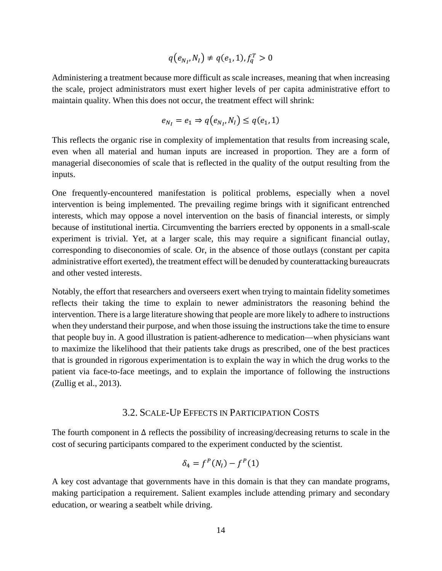$$
q(e_{N_I}, N_I) \neq q(e_1, 1), f_q^T > 0
$$

Administering a treatment because more difficult as scale increases, meaning that when increasing the scale, project administrators must exert higher levels of per capita administrative effort to maintain quality. When this does not occur, the treatment effect will shrink:

$$
e_{N_I} = e_1 \Rightarrow q(e_{N_I}, N_I) \leq q(e_1, 1)
$$

This reflects the organic rise in complexity of implementation that results from increasing scale, even when all material and human inputs are increased in proportion. They are a form of managerial diseconomies of scale that is reflected in the quality of the output resulting from the inputs.

One frequently-encountered manifestation is political problems, especially when a novel intervention is being implemented. The prevailing regime brings with it significant entrenched interests, which may oppose a novel intervention on the basis of financial interests, or simply because of institutional inertia. Circumventing the barriers erected by opponents in a small-scale experiment is trivial. Yet, at a larger scale, this may require a significant financial outlay, corresponding to diseconomies of scale. Or, in the absence of those outlays (constant per capita administrative effort exerted), the treatment effect will be denuded by counterattacking bureaucrats and other vested interests.

Notably, the effort that researchers and overseers exert when trying to maintain fidelity sometimes reflects their taking the time to explain to newer administrators the reasoning behind the intervention. There is a large literature showing that people are more likely to adhere to instructions when they understand their purpose, and when those issuing the instructions take the time to ensure that people buy in. A good illustration is patient-adherence to medication—when physicians want to maximize the likelihood that their patients take drugs as prescribed, one of the best practices that is grounded in rigorous experimentation is to explain the way in which the drug works to the patient via face-to-face meetings, and to explain the importance of following the instructions (Zullig et al., 2013).

## 3.2. SCALE-UP EFFECTS IN PARTICIPATION COSTS

The fourth component in  $\Delta$  reflects the possibility of increasing/decreasing returns to scale in the cost of securing participants compared to the experiment conducted by the scientist.

$$
\delta_4 = f^P(N_I) - f^P(1)
$$

A key cost advantage that governments have in this domain is that they can mandate programs, making participation a requirement. Salient examples include attending primary and secondary education, or wearing a seatbelt while driving.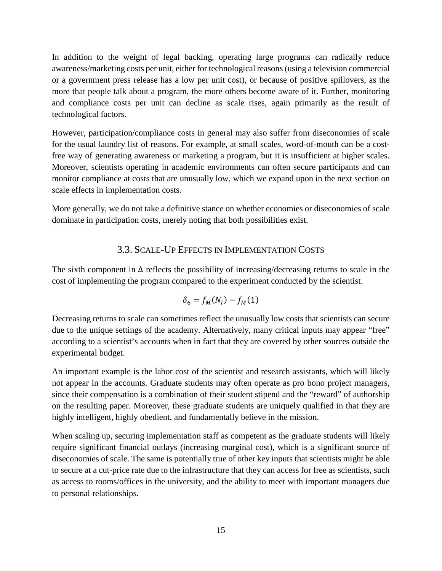In addition to the weight of legal backing, operating large programs can radically reduce awareness/marketing costs per unit, either for technological reasons (using a television commercial or a government press release has a low per unit cost), or because of positive spillovers, as the more that people talk about a program, the more others become aware of it. Further, monitoring and compliance costs per unit can decline as scale rises, again primarily as the result of technological factors.

However, participation/compliance costs in general may also suffer from diseconomies of scale for the usual laundry list of reasons. For example, at small scales, word-of-mouth can be a costfree way of generating awareness or marketing a program, but it is insufficient at higher scales. Moreover, scientists operating in academic environments can often secure participants and can monitor compliance at costs that are unusually low, which we expand upon in the next section on scale effects in implementation costs.

More generally, we do not take a definitive stance on whether economies or diseconomies of scale dominate in participation costs, merely noting that both possibilities exist.

## 3.3. SCALE-UP EFFECTS IN IMPLEMENTATION COSTS

The sixth component in  $\Delta$  reflects the possibility of increasing/decreasing returns to scale in the cost of implementing the program compared to the experiment conducted by the scientist.

$$
\delta_6 = f_M(N_I) - f_M(1)
$$

Decreasing returns to scale can sometimes reflect the unusually low costs that scientists can secure due to the unique settings of the academy. Alternatively, many critical inputs may appear "free" according to a scientist's accounts when in fact that they are covered by other sources outside the experimental budget.

An important example is the labor cost of the scientist and research assistants, which will likely not appear in the accounts. Graduate students may often operate as pro bono project managers, since their compensation is a combination of their student stipend and the "reward" of authorship on the resulting paper. Moreover, these graduate students are uniquely qualified in that they are highly intelligent, highly obedient, and fundamentally believe in the mission.

When scaling up, securing implementation staff as competent as the graduate students will likely require significant financial outlays (increasing marginal cost), which is a significant source of diseconomies of scale. The same is potentially true of other key inputs that scientists might be able to secure at a cut-price rate due to the infrastructure that they can access for free as scientists, such as access to rooms/offices in the university, and the ability to meet with important managers due to personal relationships.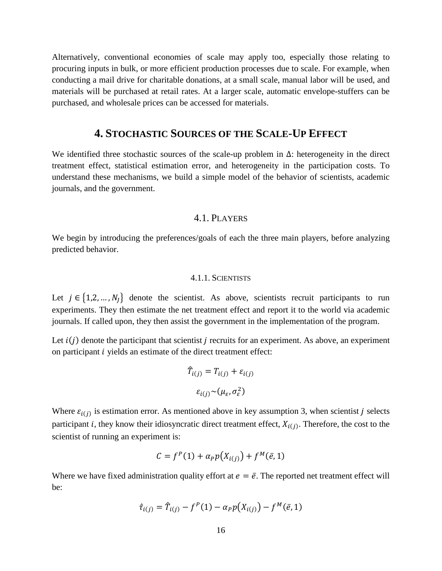Alternatively, conventional economies of scale may apply too, especially those relating to procuring inputs in bulk, or more efficient production processes due to scale. For example, when conducting a mail drive for charitable donations, at a small scale, manual labor will be used, and materials will be purchased at retail rates. At a larger scale, automatic envelope-stuffers can be purchased, and wholesale prices can be accessed for materials.

## **4. STOCHASTIC SOURCES OF THE SCALE-UP EFFECT**

We identified three stochastic sources of the scale-up problem in Δ: heterogeneity in the direct treatment effect, statistical estimation error, and heterogeneity in the participation costs. To understand these mechanisms, we build a simple model of the behavior of scientists, academic journals, and the government.

#### 4.1. PLAYERS

We begin by introducing the preferences/goals of each the three main players, before analyzing predicted behavior.

#### 4.1.1. SCIENTISTS

Let  $j \in \{1,2,...,N<sub>I</sub>\}$  denote the scientist. As above, scientists recruit participants to run experiments. They then estimate the net treatment effect and report it to the world via academic journals. If called upon, they then assist the government in the implementation of the program.

Let  $i(j)$  denote the participant that scientist *j* recruits for an experiment. As above, an experiment on participant *i* yields an estimate of the direct treatment effect:

$$
\widehat{T}_{i(j)} = T_{i(j)} + \varepsilon_{i(j)}
$$

$$
\varepsilon_{i(j)} \sim (\mu_{\varepsilon}, \sigma_{\varepsilon}^2)
$$

Where  $\varepsilon_{i(j)}$  is estimation error. As mentioned above in key assumption 3, when scientist *j* selects participant i, they know their idiosyncratic direct treatment effect,  $X_{i(j)}$ . Therefore, the cost to the scientist of running an experiment is:

$$
C = fP(1) + \alpha_P p(X_{i(j)}) + fM(\bar{e}, 1)
$$

Where we have fixed administration quality effort at  $e = \bar{e}$ . The reported net treatment effect will be:

$$
\hat{\tau}_{i(j)} = \hat{T}_{i(j)} - f^{P}(1) - \alpha_{P} p(X_{i(j)}) - f^{M}(\bar{e}, 1)
$$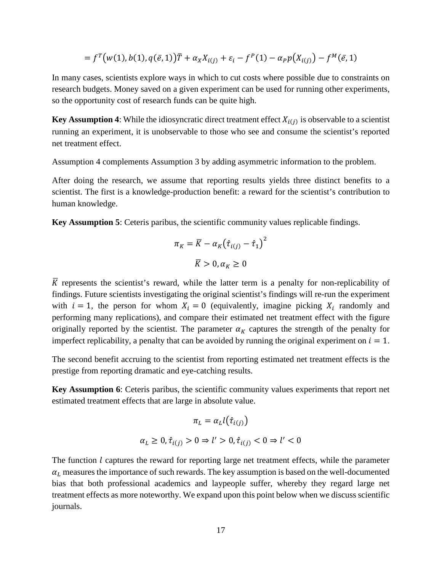$$
= f^T(w(1), b(1), q(\bar{e}, 1))\bar{T} + \alpha_X X_{i(j)} + \varepsilon_i - f^P(1) - \alpha_P p(X_{i(j)}) - f^M(\bar{e}, 1)
$$

In many cases, scientists explore ways in which to cut costs where possible due to constraints on research budgets. Money saved on a given experiment can be used for running other experiments, so the opportunity cost of research funds can be quite high.

**Key Assumption 4:** While the idiosyncratic direct treatment effect  $X_{i(i)}$  is observable to a scientist running an experiment, it is unobservable to those who see and consume the scientist's reported net treatment effect.

Assumption 4 complements Assumption 3 by adding asymmetric information to the problem.

After doing the research, we assume that reporting results yields three distinct benefits to a scientist. The first is a knowledge-production benefit: a reward for the scientist's contribution to human knowledge.

**Key Assumption 5**: Ceteris paribus, the scientific community values replicable findings.

$$
\pi_K = \overline{K} - \alpha_K (\hat{\tau}_{i(j)} - \hat{\tau}_1)^2
$$

$$
\overline{K} > 0, \alpha_K \ge 0
$$

 $\overline{K}$  represents the scientist's reward, while the latter term is a penalty for non-replicability of findings. Future scientists investigating the original scientist's findings will re-run the experiment with  $i = 1$ , the person for whom  $X_i = 0$  (equivalently, imagine picking  $X_i$  randomly and performing many replications), and compare their estimated net treatment effect with the figure originally reported by the scientist. The parameter  $\alpha_K$  captures the strength of the penalty for imperfect replicability, a penalty that can be avoided by running the original experiment on  $i = 1$ .

The second benefit accruing to the scientist from reporting estimated net treatment effects is the prestige from reporting dramatic and eye-catching results.

**Key Assumption 6**: Ceteris paribus, the scientific community values experiments that report net estimated treatment effects that are large in absolute value.

$$
\pi_L = \alpha_L l(\hat{\tau}_{i(j)})
$$
  

$$
\alpha_L \ge 0, \hat{\tau}_{i(j)} > 0 \Rightarrow l' > 0, \hat{\tau}_{i(j)} < 0 \Rightarrow l' < 0
$$

The function  $l$  captures the reward for reporting large net treatment effects, while the parameter  $\alpha_L$  measures the importance of such rewards. The key assumption is based on the well-documented bias that both professional academics and laypeople suffer, whereby they regard large net treatment effects as more noteworthy. We expand upon this point below when we discuss scientific journals.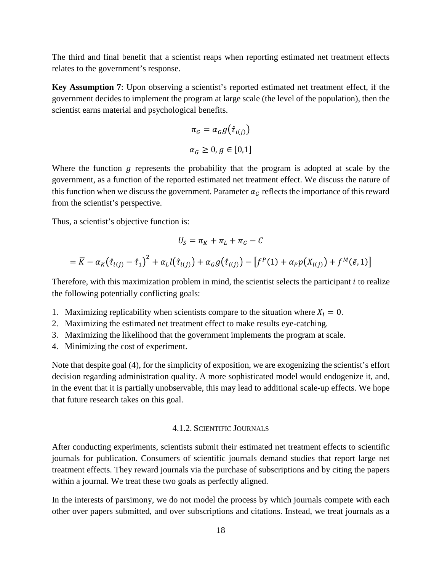The third and final benefit that a scientist reaps when reporting estimated net treatment effects relates to the government's response.

**Key Assumption 7**: Upon observing a scientist's reported estimated net treatment effect, if the government decides to implement the program at large scale (the level of the population), then the scientist earns material and psychological benefits.

$$
\pi_G = \alpha_G g(\hat{\tau}_{i(j)})
$$
  

$$
\alpha_G \ge 0, g \in [0,1]
$$

Where the function  $q$  represents the probability that the program is adopted at scale by the government, as a function of the reported estimated net treatment effect. We discuss the nature of this function when we discuss the government. Parameter  $\alpha_G$  reflects the importance of this reward from the scientist's perspective.

Thus, a scientist's objective function is:

$$
U_S = \pi_K + \pi_L + \pi_G - C
$$

$$
= \overline{K} - \alpha_K (\hat{\tau}_{i(j)} - \hat{\tau}_1)^2 + \alpha_L l(\hat{\tau}_{i(j)}) + \alpha_G g(\hat{\tau}_{i(j)}) - [f^P(1) + \alpha_P p(X_{i(j)}) + f^M(\bar{e}, 1)]
$$

Therefore, with this maximization problem in mind, the scientist selects the participant  $i$  to realize the following potentially conflicting goals:

- 1. Maximizing replicability when scientists compare to the situation where  $X_i = 0$ .
- 2. Maximizing the estimated net treatment effect to make results eye-catching.
- 3. Maximizing the likelihood that the government implements the program at scale.
- 4. Minimizing the cost of experiment.

Note that despite goal (4), for the simplicity of exposition, we are exogenizing the scientist's effort decision regarding administration quality. A more sophisticated model would endogenize it, and, in the event that it is partially unobservable, this may lead to additional scale-up effects. We hope that future research takes on this goal.

#### 4.1.2. SCIENTIFIC JOURNALS

After conducting experiments, scientists submit their estimated net treatment effects to scientific journals for publication. Consumers of scientific journals demand studies that report large net treatment effects. They reward journals via the purchase of subscriptions and by citing the papers within a journal. We treat these two goals as perfectly aligned.

In the interests of parsimony, we do not model the process by which journals compete with each other over papers submitted, and over subscriptions and citations. Instead, we treat journals as a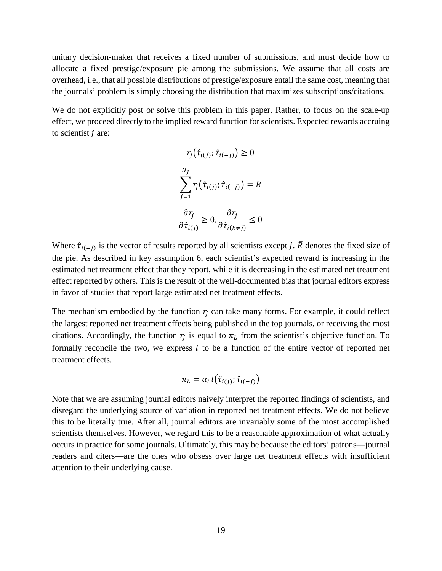unitary decision-maker that receives a fixed number of submissions, and must decide how to allocate a fixed prestige/exposure pie among the submissions. We assume that all costs are overhead, i.e., that all possible distributions of prestige/exposure entail the same cost, meaning that the journals' problem is simply choosing the distribution that maximizes subscriptions/citations.

We do not explicitly post or solve this problem in this paper. Rather, to focus on the scale-up effect, we proceed directly to the implied reward function for scientists. Expected rewards accruing to scientist  *are:* 

$$
r_j(\hat{\tau}_{i(j)}; \hat{\tau}_{i(-j)}) \ge 0
$$
  

$$
\sum_{j=1}^{N_J} r_j(\hat{\tau}_{i(j)}; \hat{\tau}_{i(-j)}) = \bar{R}
$$
  

$$
\frac{\partial r_j}{\partial \hat{\tau}_{i(j)}} \ge 0, \frac{\partial r_j}{\partial \hat{\tau}_{i(k \ne j)}} \le 0
$$

Where  $\hat{\tau}_{i(-i)}$  is the vector of results reported by all scientists except j.  $\bar{R}$  denotes the fixed size of the pie. As described in key assumption 6, each scientist's expected reward is increasing in the estimated net treatment effect that they report, while it is decreasing in the estimated net treatment effect reported by others. This is the result of the well-documented bias that journal editors express in favor of studies that report large estimated net treatment effects.

The mechanism embodied by the function  $r_i$  can take many forms. For example, it could reflect the largest reported net treatment effects being published in the top journals, or receiving the most citations. Accordingly, the function  $r_i$  is equal to  $\pi<sub>L</sub>$  from the scientist's objective function. To formally reconcile the two, we express  $l$  to be a function of the entire vector of reported net treatment effects.

$$
\pi_L = \alpha_L l(\hat{\tau}_{i(j)}; \hat{\tau}_{i(-j)})
$$

Note that we are assuming journal editors naively interpret the reported findings of scientists, and disregard the underlying source of variation in reported net treatment effects. We do not believe this to be literally true. After all, journal editors are invariably some of the most accomplished scientists themselves. However, we regard this to be a reasonable approximation of what actually occurs in practice for some journals. Ultimately, this may be because the editors' patrons—journal readers and citers—are the ones who obsess over large net treatment effects with insufficient attention to their underlying cause.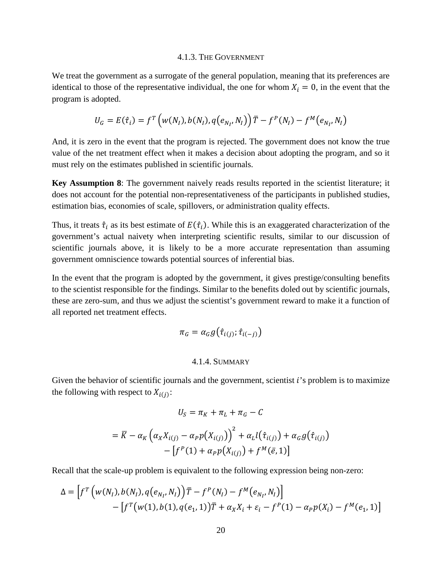#### 4.1.3. THE GOVERNMENT

We treat the government as a surrogate of the general population, meaning that its preferences are identical to those of the representative individual, the one for whom  $X_i = 0$ , in the event that the program is adopted.

$$
U_G = E(\hat{\tau}_i) = f^T \left( w(N_I), b(N_I), q(e_{N_I}, N_I) \right) \overline{T} - f^P(N_I) - f^M(e_{N_I}, N_I)
$$

And, it is zero in the event that the program is rejected. The government does not know the true value of the net treatment effect when it makes a decision about adopting the program, and so it must rely on the estimates published in scientific journals.

**Key Assumption 8**: The government naively reads results reported in the scientist literature; it does not account for the potential non-representativeness of the participants in published studies, estimation bias, economies of scale, spillovers, or administration quality effects.

Thus, it treats  $\hat{\tau}_i$  as its best estimate of  $E(\hat{\tau}_i)$ . While this is an exaggerated characterization of the government's actual naivety when interpreting scientific results, similar to our discussion of scientific journals above, it is likely to be a more accurate representation than assuming government omniscience towards potential sources of inferential bias.

In the event that the program is adopted by the government, it gives prestige/consulting benefits to the scientist responsible for the findings. Similar to the benefits doled out by scientific journals, these are zero-sum, and thus we adjust the scientist's government reward to make it a function of all reported net treatment effects.

$$
\pi_G = \alpha_G g(\hat{\tau}_{i(j)}; \hat{\tau}_{i(-j)})
$$

#### 4.1.4. SUMMARY

Given the behavior of scientific journals and the government, scientist  $i$ 's problem is to maximize the following with respect to  $X_{i(j)}$ :

$$
U_S = \pi_K + \pi_L + \pi_G - C
$$
  
=  $\overline{K} - \alpha_K \left( \alpha_X X_{i(j)} - \alpha_P p(X_{i(j)}) \right)^2 + \alpha_L l(\hat{\tau}_{i(j)}) + \alpha_G g(\hat{\tau}_{i(j)})$   
-  $\left[ f^P(1) + \alpha_P p(X_{i(j)}) + f^M(\bar{e}, 1) \right]$ 

Recall that the scale-up problem is equivalent to the following expression being non-zero:

$$
\Delta = \left[ f^T \left( w(N_I), b(N_I), q(e_{N_I}, N_I) \right) \overline{T} - f^P(N_I) - f^M(e_{N_I}, N_I) \right] - \left[ f^T \left( w(1), b(1), q(e_1, 1) \right) \overline{T} + \alpha_X X_i + \varepsilon_i - f^P(1) - \alpha_P p(X_i) - f^M(e_1, 1) \right]
$$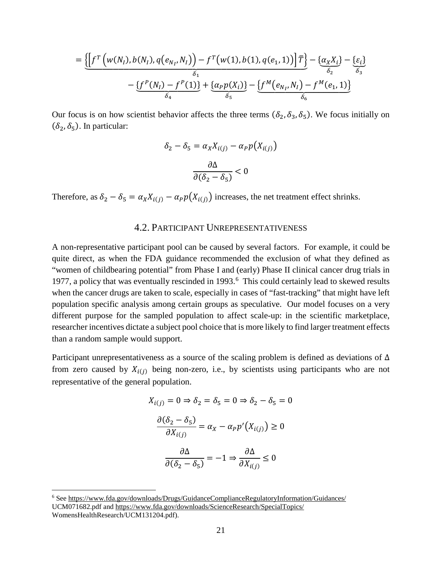$$
= \underbrace{\left[\int f^T \left(w(N_I), b(N_I), q(e_{N_I}, N_I)\right) - f^T \left(w(1), b(1), q(e_1, 1)\right) \right] \overline{T}}_{\delta_1} - \underbrace{\left\{\alpha_X X_i\right\}}_{\delta_2} - \underbrace{\left\{\varepsilon_i\right\}}_{\delta_4} \\ - \underbrace{\left\{f^P(N_I) - f^P(1)\right\}}_{\delta_4} + \underbrace{\left\{\alpha_P p(X_i)\right\}}_{\delta_5} - \underbrace{\left\{f^M(e_{N_I}, N_I) - f^M(e_1, 1)\right\}}_{\delta_6}
$$

Our focus is on how scientist behavior affects the three terms  $(\delta_2, \delta_3, \delta_5)$ . We focus initially on  $(\delta_2, \delta_5)$ . In particular:

$$
\delta_2 - \delta_5 = \alpha_X X_{i(j)} - \alpha_P p(X_{i(j)})
$$

$$
\frac{\partial \Delta}{\partial (\delta_2 - \delta_5)} < 0
$$

Therefore, as  $\delta_2 - \delta_5 = \alpha_X X_{i(j)} - \alpha_P p(X_{i(j)})$  increases, the net treatment effect shrinks.

#### **4.2. PARTICIPANT UNREPRESENTATIVENESS**

A non-representative participant pool can be caused by several factors. For example, it could be quite direct, as when the FDA guidance recommended the exclusion of what they defined as "women of childbearing potential" from Phase I and (early) Phase II clinical cancer drug trials in 1977, a policy that was eventually rescinded in 1993.<sup>6</sup> This could certainly lead to skewed results when the cancer drugs are taken to scale, especially in cases of "fast-tracking" that might have left population specific analysis among certain groups as speculative. Our model focuses on a very different purpose for the sampled population to affect scale-up: in the scientific marketplace, researcher incentives dictate a subject pool choice that is more likely to find larger treatment effects than a random sample would support.

Participant unrepresentativeness as a source of the scaling problem is defined as deviations of  $\Delta$ from zero caused by  $X_{i(j)}$  being non-zero, i.e., by scientists using participants who are not representative of the general population.

$$
X_{i(j)} = 0 \Rightarrow \delta_2 = \delta_5 = 0 \Rightarrow \delta_2 - \delta_5 = 0
$$

$$
\frac{\partial(\delta_2 - \delta_5)}{\partial X_{i(j)}} = \alpha_X - \alpha_P p'(X_{i(j)}) \ge 0
$$

$$
\frac{\partial \Delta}{\partial (\delta_2 - \delta_5)} = -1 \Rightarrow \frac{\partial \Delta}{\partial X_{i(j)}} \le 0
$$

<span id="page-23-0"></span> $6$  See https://www.fda.gov/downloads/Drugs/GuidanceComplianceRegulatoryInformation/Guidances/ UCM071682.pdf and https://www.fda.gov/downloads/ScienceResearch/SpecialTopics/ WomensHealthResearch/UCM131204.pdf).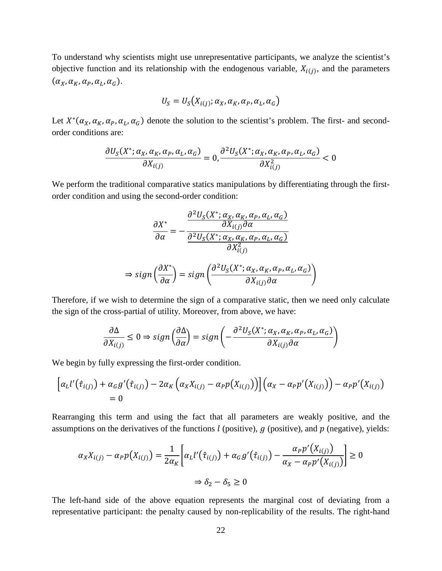To understand why scientists might use unrepresentative participants, we analyze the scientist's objective function and its relationship with the endogenous variable,  $X_{i(j)}$ , and the parameters  $(\alpha_X, \alpha_K, \alpha_P, \alpha_L, \alpha_G).$ 

$$
U_S = U_S(X_{i(j)}; \alpha_X, \alpha_K, \alpha_P, \alpha_L, \alpha_G)
$$

Let  $X^*(\alpha_X, \alpha_Y, \alpha_Y, \alpha_L, \alpha_G)$  denote the solution to the scientist's problem. The first- and secondorder conditions are:

$$
\frac{\partial U_S(X^*; \alpha_X, \alpha_K, \alpha_P, \alpha_L, \alpha_G)}{\partial X_{i(j)}} = 0, \frac{\partial^2 U_S(X^*; \alpha_X, \alpha_K, \alpha_P, \alpha_L, \alpha_G)}{\partial X_{i(j)}^2} < 0
$$

We perform the traditional comparative statics manipulations by differentiating through the firstorder condition and using the second-order condition:

$$
\frac{\partial X^*}{\partial \alpha} = -\frac{\frac{\partial^2 U_S(X^*; \alpha_X, \alpha_K, \alpha_P, \alpha_L, \alpha_G)}{\partial X_{i(j)} \partial \alpha}}{\frac{\partial^2 U_S(X^*; \alpha_X, \alpha_K, \alpha_P, \alpha_L, \alpha_G)}{\partial X_{i(j)}^2}}
$$
\n
$$
\Rightarrow sign\left(\frac{\partial X^*}{\partial \alpha}\right) = sign\left(\frac{\partial^2 U_S(X^*; \alpha_X, \alpha_K, \alpha_P, \alpha_L, \alpha_G)}{\partial X_{i(j)} \partial \alpha}\right)
$$

Therefore, if we wish to determine the sign of a comparative static, then we need only calculate the sign of the cross-partial of utility. Moreover, from above, we have:

$$
\frac{\partial \Delta}{\partial X_{i(j)}} \leq 0 \Rightarrow sign\left(\frac{\partial \Delta}{\partial \alpha}\right) = sign\left(-\frac{\partial^2 U_S(X^*; \alpha_X, \alpha_K, \alpha_P, \alpha_L, \alpha_G)}{\partial X_{i(j)} \partial \alpha}\right)
$$

We begin by fully expressing the first-order condition.

$$
\left[\alpha_L l'(\hat{\tau}_{i(j)}) + \alpha_G g'(\hat{\tau}_{i(j)}) - 2\alpha_K \left(\alpha_X X_{i(j)} - \alpha_P p(X_{i(j)})\right)\right] \left(\alpha_X - \alpha_P p'(X_{i(j)})\right) - \alpha_P p'(X_{i(j)})
$$
  
= 0

Rearranging this term and using the fact that all parameters are weakly positive, and the assumptions on the derivatives of the functions  $l$  (positive),  $g$  (positive), and  $p$  (negative), yields:

$$
\alpha_X X_{i(j)} - \alpha_P p(X_{i(j)}) = \frac{1}{2\alpha_K} \left[ \alpha_L l'(\hat{\tau}_{i(j)}) + \alpha_G g'(\hat{\tau}_{i(j)}) - \frac{\alpha_P p'(X_{i(j)})}{\alpha_X - \alpha_P p'(X_{i(j)})} \right] \ge 0
$$
  

$$
\Rightarrow \delta_2 - \delta_5 \ge 0
$$

The left-hand side of the above equation represents the marginal cost of deviating from a representative participant: the penalty caused by non-replicability of the results. The right-hand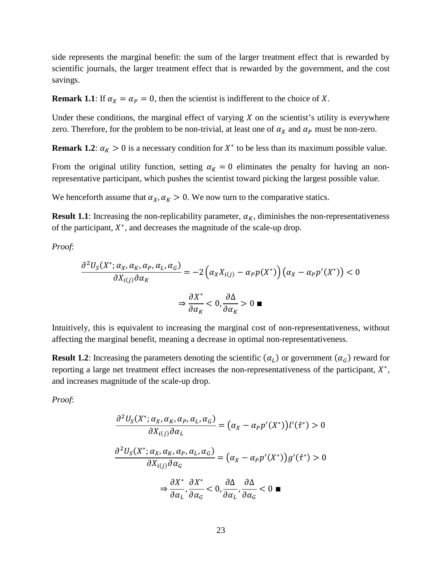side represents the marginal benefit: the sum of the larger treatment effect that is rewarded by scientific journals, the larger treatment effect that is rewarded by the government, and the cost savings.

**Remark 1.1**: If  $\alpha_X = \alpha_P = 0$ , then the scientist is indifferent to the choice of X.

Under these conditions, the marginal effect of varying  $X$  on the scientist's utility is everywhere zero. Therefore, for the problem to be non-trivial, at least one of  $\alpha_X$  and  $\alpha_P$  must be non-zero.

**Remark 1.2**:  $\alpha_K > 0$  is a necessary condition for  $X^*$  to be less than its maximum possible value.

From the original utility function, setting  $\alpha_K = 0$  eliminates the penalty for having an nonrepresentative participant, which pushes the scientist toward picking the largest possible value.

We henceforth assume that  $\alpha_X$ ,  $\alpha_K > 0$ . We now turn to the comparative statics.

**Result 1.1**: Increasing the non-replicability parameter,  $\alpha_K$ , diminishes the non-representativeness of the participant,  $X^*$ , and decreases the magnitude of the scale-up drop.

*Proof*:

$$
\frac{\partial^2 U_S(X^*; \alpha_X, \alpha_K, \alpha_P, \alpha_L, \alpha_G)}{\partial X_{i(j)} \partial \alpha_K} = -2 \left( \alpha_X X_{i(j)} - \alpha_P p(X^*) \right) \left( \alpha_X - \alpha_P p'(X^*) \right) < 0
$$
\n
$$
\Rightarrow \frac{\partial X^*}{\partial \alpha_K} < 0, \frac{\partial \Delta}{\partial \alpha_K} > 0 \blacksquare
$$

Intuitively, this is equivalent to increasing the marginal cost of non-representativeness, without affecting the marginal benefit, meaning a decrease in optimal non-representativeness.

**Result 1.2**: Increasing the parameters denoting the scientific  $(\alpha_L)$  or government  $(\alpha_G)$  reward for reporting a large net treatment effect increases the non-representativeness of the participant,  $X^*$ , and increases magnitude of the scale-up drop.

*Proof*:

$$
\frac{\partial^2 U_S(X^*; \alpha_X, \alpha_K, \alpha_P, \alpha_L, \alpha_G)}{\partial X_{i(j)} \partial \alpha_L} = (\alpha_X - \alpha_P p'(X^*))l'(\hat{\tau}^*) > 0
$$

$$
\frac{\partial^2 U_S(X^*; \alpha_X, \alpha_K, \alpha_P, \alpha_L, \alpha_G)}{\partial X_{i(j)} \partial \alpha_G} = (\alpha_X - \alpha_P p'(X^*))g'(\hat{\tau}^*) > 0
$$

$$
\Rightarrow \frac{\partial X^*}{\partial \alpha_L}, \frac{\partial X^*}{\partial \alpha_G} < 0, \frac{\partial \Delta}{\partial \alpha_L}, \frac{\partial \Delta}{\partial \alpha_G} < 0 \blacksquare
$$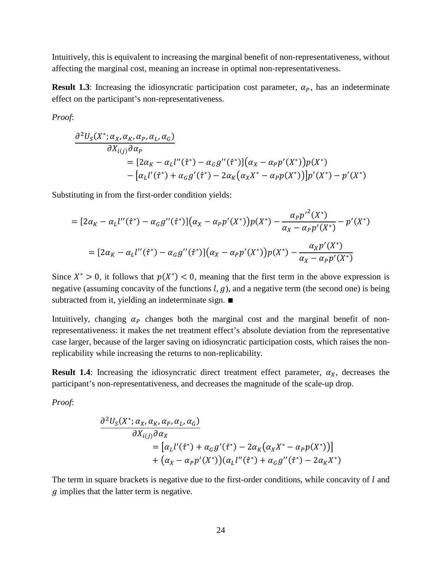Intuitively, this is equivalent to increasing the marginal benefit of non-representativeness, without affecting the marginal cost, meaning an increase in optimal non-representativeness.

**Result 1.3**: Increasing the idiosyncratic participation cost parameter,  $\alpha_p$ , has an indeterminate effect on the participant's non-representativeness.

*Proof*:

$$
\frac{\partial^2 U_S(X^*; \alpha_X, \alpha_K, \alpha_P, \alpha_L, \alpha_G)}{\partial X_{i(j)} \partial \alpha_P} = [2\alpha_K - \alpha_L l''(\hat{\tau}^*) - \alpha_G g''(\hat{\tau}^*)](\alpha_X - \alpha_P p'(X^*))p(X^*) - [\alpha_L l'(\hat{\tau}^*) + \alpha_G g'(\hat{\tau}^*) - 2\alpha_K(\alpha_X X^* - \alpha_P p(X^*))]p'(X^*) - p'(X^*)
$$

Substituting in from the first-order condition yields:

$$
= [2\alpha_K - \alpha_L l''(\hat{\tau}^*) - \alpha_G g''(\hat{\tau}^*)](\alpha_X - \alpha_P p'(X^*))p(X^*) - \frac{\alpha_P p'^2(X^*)}{\alpha_X - \alpha_P p'(X^*)} - p'(X^*)
$$
  

$$
= [2\alpha_K - \alpha_L l''(\hat{\tau}^*) - \alpha_G g''(\hat{\tau}^*)](\alpha_X - \alpha_P p'(X^*))p(X^*) - \frac{\alpha_X p'(X^*)}{\alpha_X - \alpha_P p'(X^*)}
$$

Since  $X^* > 0$ , it follows that  $p(X^*) < 0$ , meaning that the first term in the above expression is negative (assuming concavity of the functions  $l$ ,  $g$ ), and a negative term (the second one) is being subtracted from it, yielding an indeterminate sign. ■

Intuitively, changing  $\alpha_p$  changes both the marginal cost and the marginal benefit of nonrepresentativeness: it makes the net treatment effect's absolute deviation from the representative case larger, because of the larger saving on idiosyncratic participation costs, which raises the nonreplicability while increasing the returns to non-replicability.

**Result 1.4**: Increasing the idiosyncratic direct treatment effect parameter,  $\alpha_X$ , decreases the participant's non-representativeness, and decreases the magnitude of the scale-up drop.

*Proof*:

$$
\frac{\partial^2 U_S(X^*; \alpha_X, \alpha_K, \alpha_P, \alpha_L, \alpha_G)}{\partial X_{i(j)} \partial \alpha_X} = [\alpha_L l'(\hat{\tau}^*) + \alpha_G g'(\hat{\tau}^*) - 2\alpha_K (\alpha_X X^* - \alpha_P p(X^*))] + (\alpha_X - \alpha_P p'(X^*))(\alpha_L l''(\hat{\tau}^*) + \alpha_G g''(\hat{\tau}^*) - 2\alpha_K X^*)
$$

The term in square brackets is negative due to the first-order conditions, while concavity of  $l$  and  $\tilde{g}$  implies that the latter term is negative.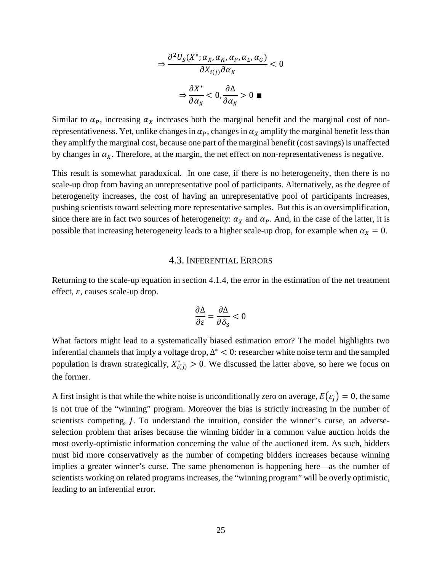$$
\Rightarrow \frac{\partial^2 U_S(X^*; \alpha_X, \alpha_K, \alpha_P, \alpha_L, \alpha_G)}{\partial X_{i(j)} \partial \alpha_X} < 0
$$
\n
$$
\Rightarrow \frac{\partial X^*}{\partial \alpha_X} < 0, \frac{\partial \Delta}{\partial \alpha_X} > 0 \blacksquare
$$

Similar to  $\alpha_p$ , increasing  $\alpha_X$  increases both the marginal benefit and the marginal cost of nonrepresentativeness. Yet, unlike changes in  $\alpha_p$ , changes in  $\alpha_x$  amplify the marginal benefit less than they amplify the marginal cost, because one part of the marginal benefit (cost savings) is unaffected by changes in  $\alpha_X$ . Therefore, at the margin, the net effect on non-representativeness is negative.

This result is somewhat paradoxical. In one case, if there is no heterogeneity, then there is no scale-up drop from having an unrepresentative pool of participants. Alternatively, as the degree of heterogeneity increases, the cost of having an unrepresentative pool of participants increases, pushing scientists toward selecting more representative samples. But this is an oversimplification, since there are in fact two sources of heterogeneity:  $\alpha_X$  and  $\alpha_P$ . And, in the case of the latter, it is possible that increasing heterogeneity leads to a higher scale-up drop, for example when  $\alpha_X = 0$ .

#### 4.3. INFERENTIAL ERRORS

Returning to the scale-up equation in section 4.1.4, the error in the estimation of the net treatment effect,  $\varepsilon$ , causes scale-up drop.

$$
\frac{\partial \Delta}{\partial \varepsilon} = \frac{\partial \Delta}{\partial \delta_3} < 0
$$

What factors might lead to a systematically biased estimation error? The model highlights two inferential channels that imply a voltage drop,  $\Delta^*$  < 0: researcher white noise term and the sampled population is drawn strategically,  $X_{i(j)}^{*} > 0$ . We discussed the latter above, so here we focus on the former.

A first insight is that while the white noise is unconditionally zero on average,  $E(\varepsilon_i) = 0$ , the same is not true of the "winning" program. Moreover the bias is strictly increasing in the number of scientists competing, *J*. To understand the intuition, consider the winner's curse, an adverseselection problem that arises because the winning bidder in a common value auction holds the most overly-optimistic information concerning the value of the auctioned item. As such, bidders must bid more conservatively as the number of competing bidders increases because winning implies a greater winner's curse. The same phenomenon is happening here—as the number of scientists working on related programs increases, the "winning program" will be overly optimistic, leading to an inferential error.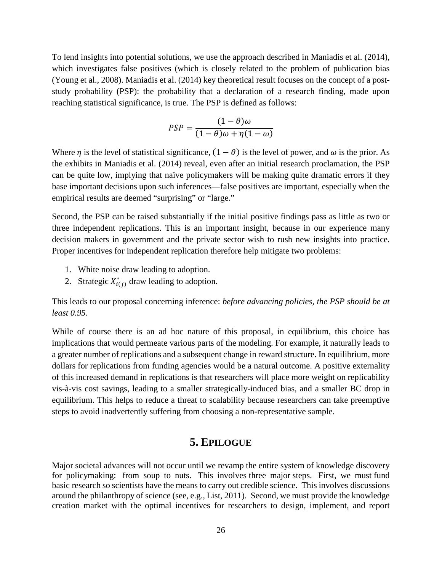To lend insights into potential solutions, we use the approach described in Maniadis et al. (2014), which investigates false positives (which is closely related to the problem of publication bias (Young et al., 2008). Maniadis et al. (2014) key theoretical result focuses on the concept of a poststudy probability (PSP): the probability that a declaration of a research finding, made upon reaching statistical significance, is true. The PSP is defined as follows:

$$
PSP = \frac{(1 - \theta)\omega}{(1 - \theta)\omega + \eta(1 - \omega)}
$$

Where  $\eta$  is the level of statistical significance,  $(1 - \theta)$  is the level of power, and  $\omega$  is the prior. As the exhibits in Maniadis et al. (2014) reveal, even after an initial research proclamation, the PSP can be quite low, implying that naïve policymakers will be making quite dramatic errors if they base important decisions upon such inferences—false positives are important, especially when the empirical results are deemed "surprising" or "large."

Second, the PSP can be raised substantially if the initial positive findings pass as little as two or three independent replications. This is an important insight, because in our experience many decision makers in government and the private sector wish to rush new insights into practice. Proper incentives for independent replication therefore help mitigate two problems:

- 1. White noise draw leading to adoption.
- 2. Strategic  $X_{i(i)}^*$  draw leading to adoption.

This leads to our proposal concerning inference: *before advancing policies, the PSP should be at least 0.95*.

While of course there is an ad hoc nature of this proposal, in equilibrium, this choice has implications that would permeate various parts of the modeling. For example, it naturally leads to a greater number of replications and a subsequent change in reward structure. In equilibrium, more dollars for replications from funding agencies would be a natural outcome. A positive externality of this increased demand in replications is that researchers will place more weight on replicability vis-à-vis cost savings, leading to a smaller strategically-induced bias, and a smaller BC drop in equilibrium. This helps to reduce a threat to scalability because researchers can take preemptive steps to avoid inadvertently suffering from choosing a non-representative sample.

## **5. EPILOGUE**

Major societal advances will not occur until we revamp the entire system of knowledge discovery for policymaking: from soup to nuts. This involves three major steps. First, we must fund basic research so scientists have the means to carry out credible science. This involves discussions around the philanthropy of science (see, e.g., List, 2011). Second, we must provide the knowledge creation market with the optimal incentives for researchers to design, implement, and report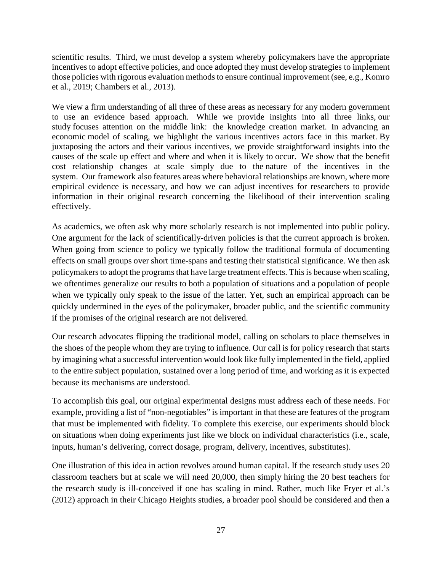scientific results. Third, we must develop a system whereby policymakers have the appropriate incentives to adopt effective policies, and once adopted they must develop strategies to implement those policies with rigorous evaluation methods to ensure continual improvement (see, e.g., Komro et al., 2019; Chambers et al., 2013).

We view a firm understanding of all three of these areas as necessary for any modern government to use an evidence based approach. While we provide insights into all three links, our study focuses attention on the middle link: the knowledge creation market. In advancing an economic model of scaling, we highlight the various incentives actors face in this market. By juxtaposing the actors and their various incentives, we provide straightforward insights into the causes of the scale up effect and where and when it is likely to occur. We show that the benefit cost relationship changes at scale simply due to the nature of the incentives in the system. Our framework also features areas where behavioral relationships are known, where more empirical evidence is necessary, and how we can adjust incentives for researchers to provide information in their original research concerning the likelihood of their intervention scaling effectively.

As academics, we often ask why more scholarly research is not implemented into public policy. One argument for the lack of scientifically-driven policies is that the current approach is broken. When going from science to policy we typically follow the traditional formula of documenting effects on small groups over short time-spans and testing their statistical significance. We then ask policymakers to adopt the programs that have large treatment effects. This is because when scaling, we oftentimes generalize our results to both a population of situations and a population of people when we typically only speak to the issue of the latter. Yet, such an empirical approach can be quickly undermined in the eyes of the policymaker, broader public, and the scientific community if the promises of the original research are not delivered.

Our research advocates flipping the traditional model, calling on scholars to place themselves in the shoes of the people whom they are trying to influence. Our call is for policy research that starts by imagining what a successful intervention would look like fully implemented in the field, applied to the entire subject population, sustained over a long period of time, and working as it is expected because its mechanisms are understood.

To accomplish this goal, our original experimental designs must address each of these needs. For example, providing a list of "non-negotiables" is important in that these are features of the program that must be implemented with fidelity. To complete this exercise, our experiments should block on situations when doing experiments just like we block on individual characteristics (i.e., scale, inputs, human's delivering, correct dosage, program, delivery, incentives, substitutes).

One illustration of this idea in action revolves around human capital. If the research study uses 20 classroom teachers but at scale we will need 20,000, then simply hiring the 20 best teachers for the research study is ill-conceived if one has scaling in mind. Rather, much like Fryer et al.'s (2012) approach in their Chicago Heights studies, a broader pool should be considered and then a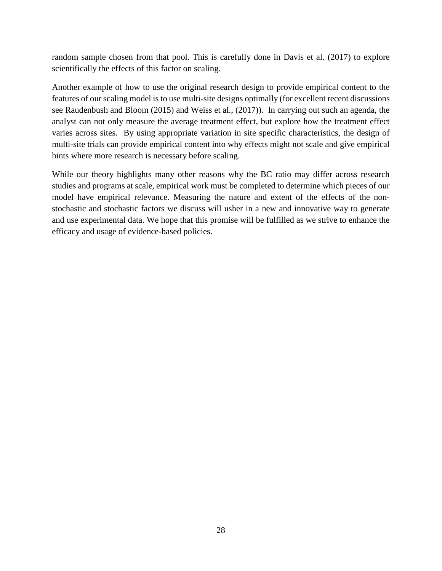random sample chosen from that pool. This is carefully done in Davis et al. (2017) to explore scientifically the effects of this factor on scaling.

Another example of how to use the original research design to provide empirical content to the features of our scaling model is to use multi-site designs optimally (for excellent recent discussions see Raudenbush and Bloom (2015) and Weiss et al., (2017)). In carrying out such an agenda, the analyst can not only measure the average treatment effect, but explore how the treatment effect varies across sites. By using appropriate variation in site specific characteristics, the design of multi-site trials can provide empirical content into why effects might not scale and give empirical hints where more research is necessary before scaling.

While our theory highlights many other reasons why the BC ratio may differ across research studies and programs at scale, empirical work must be completed to determine which pieces of our model have empirical relevance. Measuring the nature and extent of the effects of the nonstochastic and stochastic factors we discuss will usher in a new and innovative way to generate and use experimental data. We hope that this promise will be fulfilled as we strive to enhance the efficacy and usage of evidence-based policies.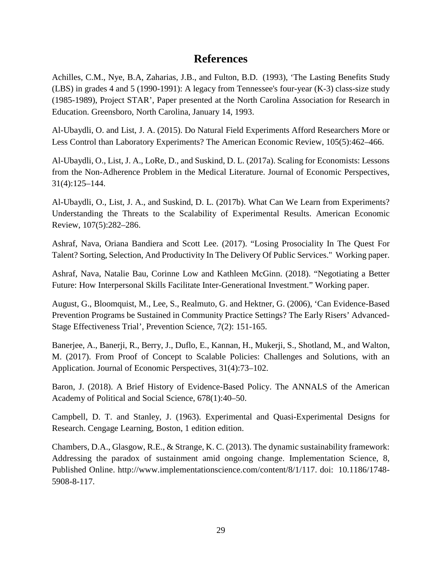# **References**

Achilles, C.M., Nye, B.A, Zaharias, J.B., and Fulton, B.D. (1993), 'The Lasting Benefits Study (LBS) in grades 4 and 5 (1990-1991): A legacy from Tennessee's four-year (K-3) class-size study (1985-1989), Project STAR', Paper presented at the North Carolina Association for Research in Education. Greensboro, North Carolina, January 14, 1993.

Al-Ubaydli, O. and List, J. A. (2015). Do Natural Field Experiments Afford Researchers More or Less Control than Laboratory Experiments? The American Economic Review, 105(5):462–466.

Al-Ubaydli, O., List, J. A., LoRe, D., and Suskind, D. L. (2017a). Scaling for Economists: Lessons from the Non-Adherence Problem in the Medical Literature. Journal of Economic Perspectives, 31(4):125–144.

Al-Ubaydli, O., List, J. A., and Suskind, D. L. (2017b). What Can We Learn from Experiments? Understanding the Threats to the Scalability of Experimental Results. American Economic Review, 107(5):282–286.

Ashraf, Nava, Oriana Bandiera and Scott Lee. (2017). "Losing Prosociality In The Quest For Talent? Sorting, Selection, And Productivity In The Delivery Of Public Services." Working paper.

Ashraf, Nava, Natalie Bau, Corinne Low and Kathleen McGinn. (2018). "Negotiating a Better Future: How Interpersonal Skills Facilitate Inter-Generational Investment." Working paper.

August, G., Bloomquist, M., Lee, S., Realmuto, G. and Hektner, G. (2006), 'Can Evidence-Based Prevention Programs be Sustained in Community Practice Settings? The Early Risers' Advanced-Stage Effectiveness Trial', Prevention Science, 7(2): 151-165.

Banerjee, A., Banerji, R., Berry, J., Duflo, E., Kannan, H., Mukerji, S., Shotland, M., and Walton, M. (2017). From Proof of Concept to Scalable Policies: Challenges and Solutions, with an Application. Journal of Economic Perspectives, 31(4):73–102.

Baron, J. (2018). A Brief History of Evidence-Based Policy. The ANNALS of the American Academy of Political and Social Science, 678(1):40–50.

Campbell, D. T. and Stanley, J. (1963). Experimental and Quasi-Experimental Designs for Research. Cengage Learning, Boston, 1 edition edition.

Chambers, D.A., Glasgow, R.E., & Strange, K. C. (2013). The dynamic sustainability framework: Addressing the paradox of sustainment amid ongoing change. Implementation Science*,* 8*,*  Published Online. [http://www.implementationscience.com/content/8/1/117.](http://www.implementationscience.com/content/8/1/117) doi: [10.1186/1748-](https://doi.org/10.1186/1748-5908-8-117) [5908-8-117.](https://doi.org/10.1186/1748-5908-8-117)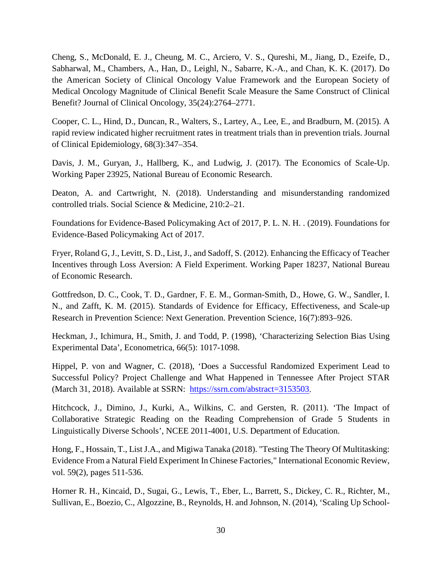Cheng, S., McDonald, E. J., Cheung, M. C., Arciero, V. S., Qureshi, M., Jiang, D., Ezeife, D., Sabharwal, M., Chambers, A., Han, D., Leighl, N., Sabarre, K.-A., and Chan, K. K. (2017). Do the American Society of Clinical Oncology Value Framework and the European Society of Medical Oncology Magnitude of Clinical Benefit Scale Measure the Same Construct of Clinical Benefit? Journal of Clinical Oncology, 35(24):2764–2771.

Cooper, C. L., Hind, D., Duncan, R., Walters, S., Lartey, A., Lee, E., and Bradburn, M. (2015). A rapid review indicated higher recruitment rates in treatment trials than in prevention trials. Journal of Clinical Epidemiology, 68(3):347–354.

Davis, J. M., Guryan, J., Hallberg, K., and Ludwig, J. (2017). The Economics of Scale-Up. Working Paper 23925, National Bureau of Economic Research.

Deaton, A. and Cartwright, N. (2018). Understanding and misunderstanding randomized controlled trials. Social Science & Medicine, 210:2–21.

Foundations for Evidence-Based Policymaking Act of 2017, P. L. N. H. . (2019). Foundations for Evidence-Based Policymaking Act of 2017.

Fryer, Roland G, J., Levitt, S. D., List, J., and Sadoff, S. (2012). Enhancing the Efficacy of Teacher Incentives through Loss Aversion: A Field Experiment. Working Paper 18237, National Bureau of Economic Research.

Gottfredson, D. C., Cook, T. D., Gardner, F. E. M., Gorman-Smith, D., Howe, G. W., Sandler, I. N., and Zafft, K. M. (2015). Standards of Evidence for Efficacy, Effectiveness, and Scale-up Research in Prevention Science: Next Generation. Prevention Science, 16(7):893–926.

Heckman, J., Ichimura, H., Smith, J. and Todd, P. (1998), 'Characterizing Selection Bias Using Experimental Data', Econometrica, 66(5): 1017-1098.

Hippel, P. von and Wagner, C. (2018), 'Does a Successful Randomized Experiment Lead to Successful Policy? Project Challenge and What Happened in Tennessee After Project STAR (March 31, 2018). Available at SSRN: [https://ssrn.com/abstract=3153503.](https://ssrn.com/abstract=3153503)

Hitchcock, J., Dimino, J., Kurki, A., Wilkins, C. and Gersten, R. (2011). 'The Impact of Collaborative Strategic Reading on the Reading Comprehension of Grade 5 Students in Linguistically Diverse Schools', NCEE 2011-4001, U.S. Department of Education.

Hong, F., Hossain, T., List J.A., and Migiwa Tanaka (2018). ["Testing The Theory Of Multitasking:](https://ideas.repec.org/a/wly/iecrev/v59y2018i2p511-536.html)  [Evidence From a Natural Field Experiment In Chinese Factories,](https://ideas.repec.org/a/wly/iecrev/v59y2018i2p511-536.html)" [International Economic Review,](https://ideas.repec.org/s/wly/iecrev.html) vol. 59(2), pages 511-536.

Horner R. H., Kincaid, D., Sugai, G., Lewis, T., Eber, L., Barrett, S., Dickey, C. R., Richter, M., Sullivan, E., Boezio, C., Algozzine, B., Reynolds, H. and Johnson, N. (2014), 'Scaling Up School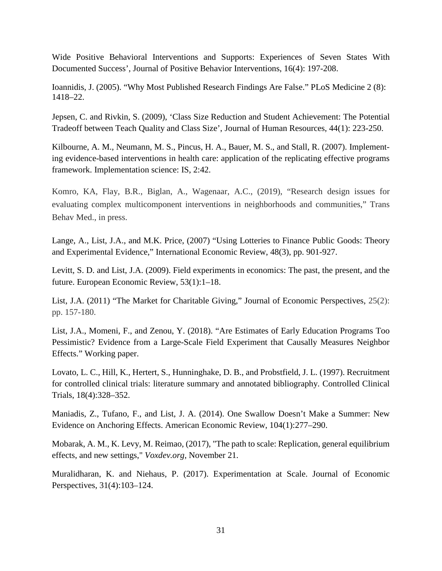Wide Positive Behavioral Interventions and Supports: Experiences of Seven States With Documented Success', Journal of Positive Behavior Interventions, 16(4): 197-208.

Ioannidis, J. (2005). "Why Most Published Research Findings Are False." PLoS Medicine 2 (8): 1418–22.

Jepsen, C. and Rivkin, S. (2009), 'Class Size Reduction and Student Achievement: The Potential Tradeoff between Teach Quality and Class Size', Journal of Human Resources, 44(1): 223-250.

Kilbourne, A. M., Neumann, M. S., Pincus, H. A., Bauer, M. S., and Stall, R. (2007). Implementing evidence-based interventions in health care: application of the replicating effective programs framework. Implementation science: IS, 2:42.

Komro, KA, Flay, B.R., Biglan, A., Wagenaar, A.C., (2019), "Research design issues for evaluating complex multicomponent interventions in neighborhoods and communities," Trans Behav Med., in press.

Lange, A., List, J.A., and M.K. Price, (2007) "Using Lotteries to Finance Public Goods: Theory and Experimental Evidence," International Economic Review, 48(3), pp. 901-927.

Levitt, S. D. and List, J.A. (2009). Field experiments in economics: The past, the present, and the future. European Economic Review, 53(1):1–18.

List, J.A. (2011) "The Market for Charitable Giving," Journal of Economic Perspectives, 25(2): pp. 157-180.

List, J.A., Momeni, F., and Zenou, Y. (2018). "Are Estimates of Early Education Programs Too Pessimistic? Evidence from a Large-Scale Field Experiment that Causally Measures Neighbor Effects." Working paper.

Lovato, L. C., Hill, K., Hertert, S., Hunninghake, D. B., and Probstfield, J. L. (1997). Recruitment for controlled clinical trials: literature summary and annotated bibliography. Controlled Clinical Trials, 18(4):328–352.

Maniadis, Z., Tufano, F., and List, J. A. (2014). One Swallow Doesn't Make a Summer: New Evidence on Anchoring Effects. American Economic Review, 104(1):277–290.

Mobarak, A. M., K. Levy, M. Reimao, (2017), "The path to scale: Replication, general equilibrium effects, and new settings," *Voxdev.org*, November 21.

Muralidharan, K. and Niehaus, P. (2017). Experimentation at Scale. Journal of Economic Perspectives, 31(4):103–124.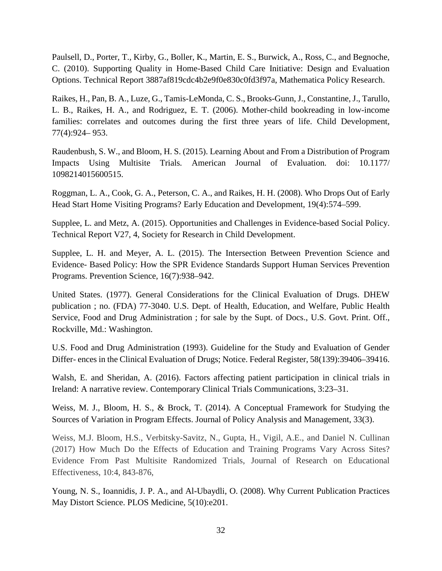Paulsell, D., Porter, T., Kirby, G., Boller, K., Martin, E. S., Burwick, A., Ross, C., and Begnoche, C. (2010). Supporting Quality in Home-Based Child Care Initiative: Design and Evaluation Options. Technical Report 3887af819cdc4b2e9f0e830c0fd3f97a, Mathematica Policy Research.

Raikes, H., Pan, B. A., Luze, G., Tamis-LeMonda, C. S., Brooks-Gunn, J., Constantine, J., Tarullo, L. B., Raikes, H. A., and Rodriguez, E. T. (2006). Mother-child bookreading in low-income families: correlates and outcomes during the first three years of life. Child Development, 77(4):924– 953.

Raudenbush, S. W., and Bloom, H. S. (2015). Learning About and From a Distribution of Program Impacts Using Multisite Trials*.* American Journal of Evaluation*.* doi: 10.1177/ 1098214015600515.

Roggman, L. A., Cook, G. A., Peterson, C. A., and Raikes, H. H. (2008). Who Drops Out of Early Head Start Home Visiting Programs? Early Education and Development, 19(4):574–599.

Supplee, L. and Metz, A. (2015). Opportunities and Challenges in Evidence-based Social Policy. Technical Report V27, 4, Society for Research in Child Development.

Supplee, L. H. and Meyer, A. L. (2015). The Intersection Between Prevention Science and Evidence- Based Policy: How the SPR Evidence Standards Support Human Services Prevention Programs. Prevention Science, 16(7):938–942.

United States. (1977). General Considerations for the Clinical Evaluation of Drugs. DHEW publication ; no. (FDA) 77-3040. U.S. Dept. of Health, Education, and Welfare, Public Health Service, Food and Drug Administration ; for sale by the Supt. of Docs., U.S. Govt. Print. Off., Rockville, Md.: Washington.

U.S. Food and Drug Administration (1993). Guideline for the Study and Evaluation of Gender Differ- ences in the Clinical Evaluation of Drugs; Notice. Federal Register, 58(139):39406–39416.

Walsh, E. and Sheridan, A. (2016). Factors affecting patient participation in clinical trials in Ireland: A narrative review. Contemporary Clinical Trials Communications, 3:23–31.

Weiss, M. J., Bloom, H. S., & Brock, T. (2014). A Conceptual Framework for Studying the Sources of Variation in Program Effects. Journal of Policy Analysis and Management, 33(3).

Weiss, M.J. Bloom, H.S., Verbitsky-Savitz, N., Gupta, H., Vigil, A.E., and Daniel N. Cullinan (2017) How Much Do the Effects of Education and Training Programs Vary Across Sites? Evidence From Past Multisite Randomized Trials, Journal of Research on Educational Effectiveness, 10:4, 843-876,

Young, N. S., Ioannidis, J. P. A., and Al-Ubaydli, O. (2008). Why Current Publication Practices May Distort Science. PLOS Medicine, 5(10):e201.